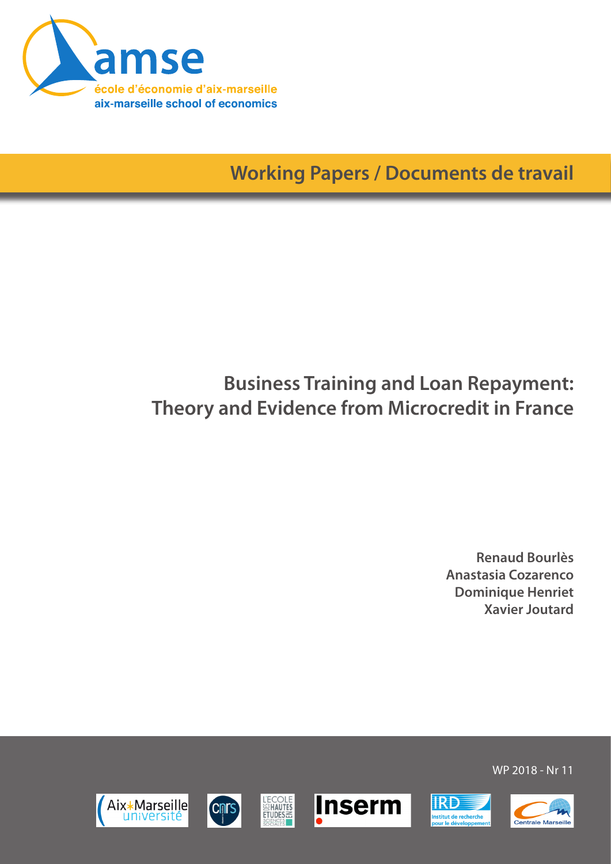

**Working Papers / Documents de travail**

# **Business Training and Loan Repayment: Theory and Evidence from Microcredit in France**

**Renaud Bourlès Anastasia Cozarenco Dominique Henriet Xavier Joutard**













WP 2018 - Nr 11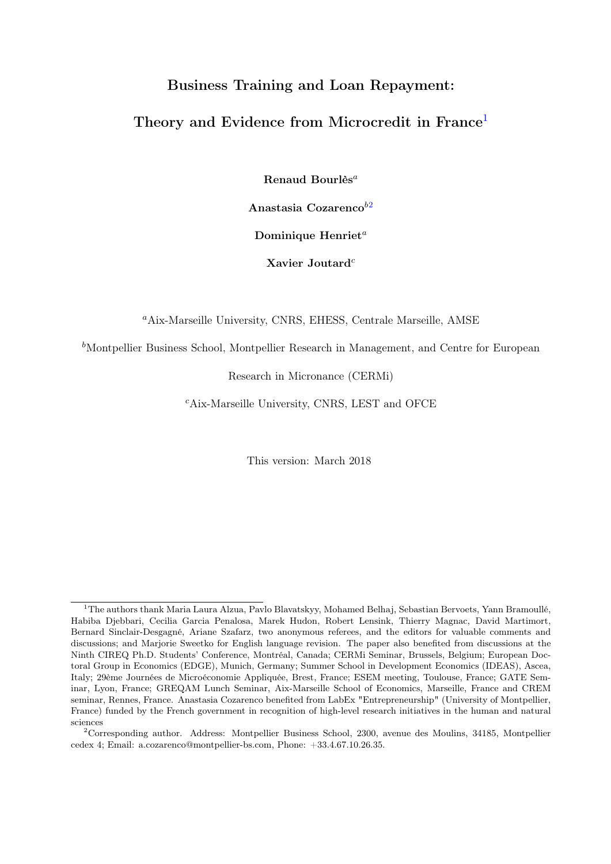## Business Training and Loan Repayment:

## Theory and Evidence from Microcredit in France<sup>[1](#page-1-0)</sup>

Renaud Bourlès<sup>a</sup>

Anastasia Cozarenco $b^2$  $b^2$ 

Dominique Henriet<sup>a</sup>

Xavier Joutard<sup>c</sup>

<sup>a</sup>Aix-Marseille University, CNRS, EHESS, Centrale Marseille, AMSE

 $<sup>b</sup>$ Montpellier Business School, Montpellier Research in Management, and Centre for European</sup>

Research in Micronance (CERMi)

<sup>c</sup>Aix-Marseille University, CNRS, LEST and OFCE

This version: March 2018

<span id="page-1-1"></span><sup>2</sup>Corresponding author. Address: Montpellier Business School, 2300, avenue des Moulins, 34185, Montpellier cedex 4; Email: a.cozarenco@montpellier-bs.com, Phone: +33.4.67.10.26.35.

<span id="page-1-0"></span><sup>&</sup>lt;sup>1</sup>The authors thank Maria Laura Alzua, Pavlo Blavatskyy, Mohamed Belhaj, Sebastian Bervoets, Yann Bramoullé, Habiba Djebbari, Cecilia Garcia Penalosa, Marek Hudon, Robert Lensink, Thierry Magnac, David Martimort, Bernard Sinclair-Desgagné, Ariane Szafarz, two anonymous referees, and the editors for valuable comments and discussions; and Marjorie Sweetko for English language revision. The paper also benefited from discussions at the Ninth CIREQ Ph.D. Students' Conference, Montréal, Canada; CERMi Seminar, Brussels, Belgium; European Doctoral Group in Economics (EDGE), Munich, Germany; Summer School in Development Economics (IDEAS), Ascea, Italy; 29ème Journées de Microéconomie Appliquée, Brest, France; ESEM meeting, Toulouse, France; GATE Seminar, Lyon, France; GREQAM Lunch Seminar, Aix-Marseille School of Economics, Marseille, France and CREM seminar, Rennes, France. Anastasia Cozarenco benefited from LabEx "Entrepreneurship" (University of Montpellier, France) funded by the French government in recognition of high-level research initiatives in the human and natural sciences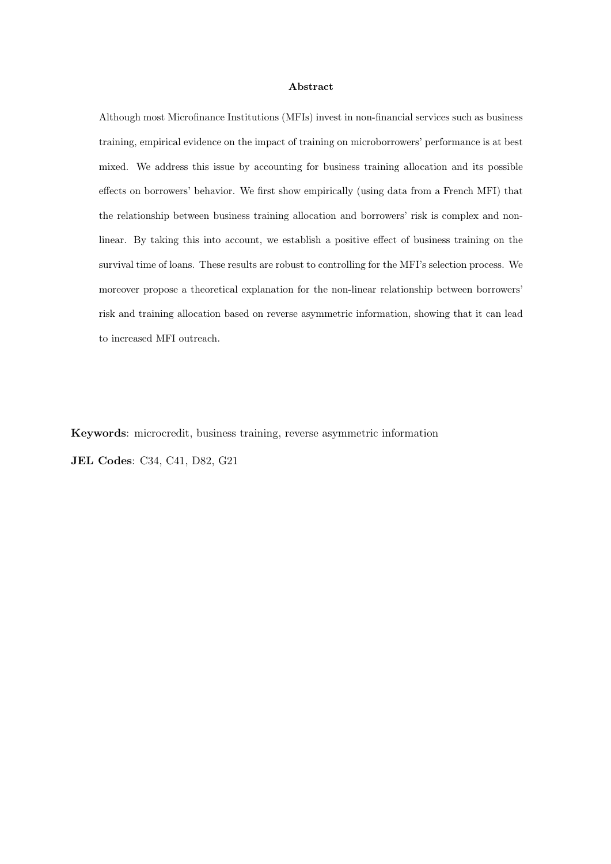#### Abstract

Although most Microfinance Institutions (MFIs) invest in non-financial services such as business training, empirical evidence on the impact of training on microborrowers' performance is at best mixed. We address this issue by accounting for business training allocation and its possible effects on borrowers' behavior. We first show empirically (using data from a French MFI) that the relationship between business training allocation and borrowers' risk is complex and nonlinear. By taking this into account, we establish a positive effect of business training on the survival time of loans. These results are robust to controlling for the MFI's selection process. We moreover propose a theoretical explanation for the non-linear relationship between borrowers' risk and training allocation based on reverse asymmetric information, showing that it can lead to increased MFI outreach.

Keywords: microcredit, business training, reverse asymmetric information JEL Codes: C34, C41, D82, G21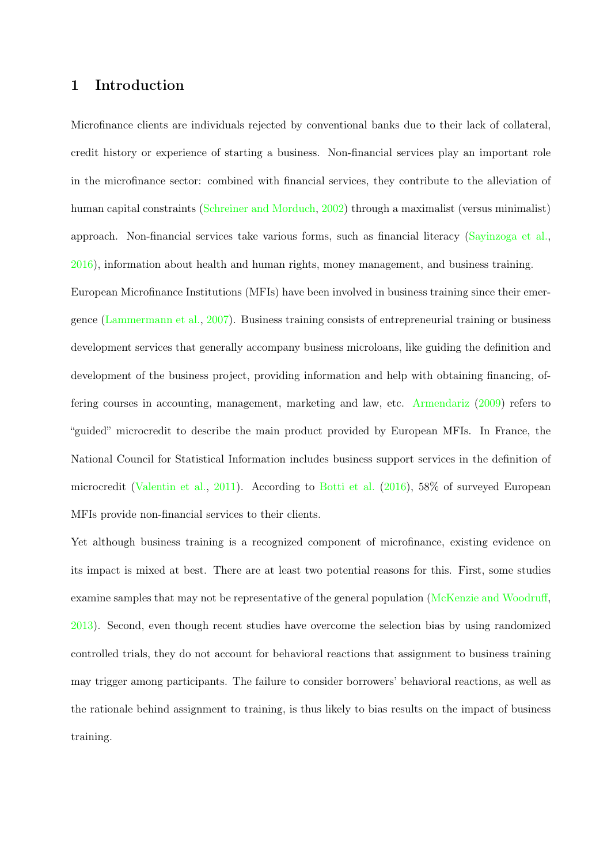## <span id="page-3-0"></span>1 Introduction

Microfinance clients are individuals rejected by conventional banks due to their lack of collateral, credit history or experience of starting a business. Non-financial services play an important role in the microfinance sector: combined with financial services, they contribute to the alleviation of human capital constraints [\(Schreiner and Morduch,](#page-41-0) [2002\)](#page-41-0) through a maximalist (versus minimalist) approach. Non-financial services take various forms, such as financial literacy [\(Sayinzoga et al.,](#page-41-1) [2016\)](#page-41-1), information about health and human rights, money management, and business training. European Microfinance Institutions (MFIs) have been involved in business training since their emergence [\(Lammermann et al.,](#page-41-2) [2007\)](#page-41-2). Business training consists of entrepreneurial training or business development services that generally accompany business microloans, like guiding the definition and development of the business project, providing information and help with obtaining financing, offering courses in accounting, management, marketing and law, etc. [Armendariz](#page-39-0) [\(2009\)](#page-39-0) refers to "guided" microcredit to describe the main product provided by European MFIs. In France, the National Council for Statistical Information includes business support services in the definition of microcredit [\(Valentin et al.,](#page-41-3) [2011\)](#page-41-3). According to [Botti et al.](#page-39-1) [\(2016\)](#page-39-1), 58% of surveyed European MFIs provide non-financial services to their clients.

Yet although business training is a recognized component of microfinance, existing evidence on its impact is mixed at best. There are at least two potential reasons for this. First, some studies examine samples that may not be representative of the general population [\(McKenzie and Woodruff,](#page-41-4) [2013\)](#page-41-4). Second, even though recent studies have overcome the selection bias by using randomized controlled trials, they do not account for behavioral reactions that assignment to business training may trigger among participants. The failure to consider borrowers' behavioral reactions, as well as the rationale behind assignment to training, is thus likely to bias results on the impact of business training.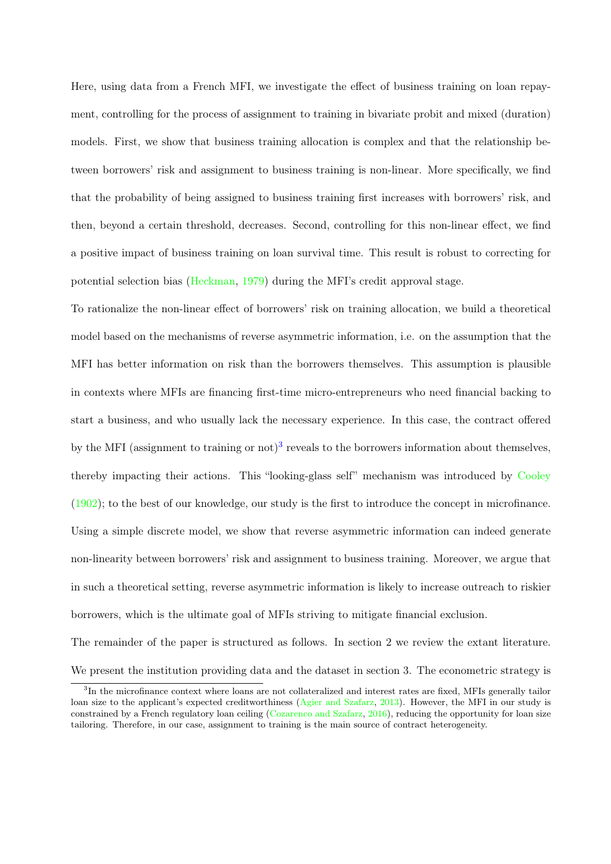<span id="page-4-1"></span>Here, using data from a French MFI, we investigate the effect of business training on loan repayment, controlling for the process of assignment to training in bivariate probit and mixed (duration) models. First, we show that business training allocation is complex and that the relationship between borrowers' risk and assignment to business training is non-linear. More specifically, we find that the probability of being assigned to business training first increases with borrowers' risk, and then, beyond a certain threshold, decreases. Second, controlling for this non-linear effect, we find a positive impact of business training on loan survival time. This result is robust to correcting for potential selection bias [\(Heckman,](#page-40-0) [1979\)](#page-40-0) during the MFI's credit approval stage.

To rationalize the non-linear effect of borrowers' risk on training allocation, we build a theoretical model based on the mechanisms of reverse asymmetric information, i.e. on the assumption that the MFI has better information on risk than the borrowers themselves. This assumption is plausible in contexts where MFIs are financing first-time micro-entrepreneurs who need financial backing to start a business, and who usually lack the necessary experience. In this case, the contract offered by the MFI (assignment to training or not)<sup>[3](#page-4-0)</sup> reveals to the borrowers information about themselves, thereby impacting their actions. This "looking-glass self" mechanism was introduced by [Cooley](#page-40-1) [\(1902\)](#page-40-1); to the best of our knowledge, our study is the first to introduce the concept in microfinance. Using a simple discrete model, we show that reverse asymmetric information can indeed generate non-linearity between borrowers' risk and assignment to business training. Moreover, we argue that in such a theoretical setting, reverse asymmetric information is likely to increase outreach to riskier borrowers, which is the ultimate goal of MFIs striving to mitigate financial exclusion.

The remainder of the paper is structured as follows. In section 2 we review the extant literature. We present the institution providing data and the dataset in section 3. The econometric strategy is

<span id="page-4-0"></span><sup>&</sup>lt;sup>3</sup>In the microfinance context where loans are not collateralized and interest rates are fixed, MFIs generally tailor loan size to the applicant's expected creditworthiness [\(Agier and Szafarz,](#page-39-2) [2013\)](#page-39-2). However, the MFI in our study is constrained by a French regulatory loan ceiling [\(Cozarenco and Szafarz,](#page-40-2) [2016\)](#page-40-2), reducing the opportunity for loan size tailoring. Therefore, in our case, assignment to training is the main source of contract heterogeneity.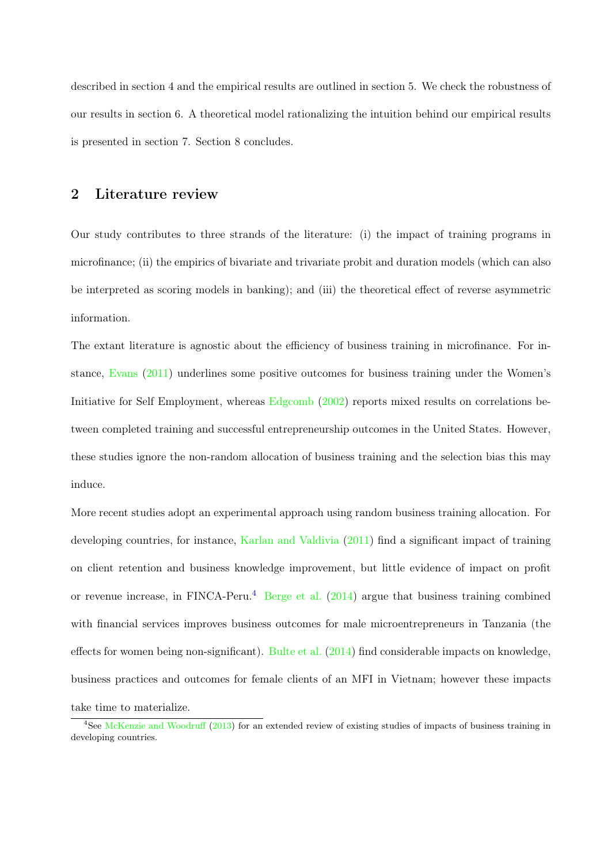<span id="page-5-1"></span>described in section 4 and the empirical results are outlined in section 5. We check the robustness of our results in section 6. A theoretical model rationalizing the intuition behind our empirical results is presented in section 7. Section 8 concludes.

## 2 Literature review

Our study contributes to three strands of the literature: (i) the impact of training programs in microfinance; (ii) the empirics of bivariate and trivariate probit and duration models (which can also be interpreted as scoring models in banking); and (iii) the theoretical effect of reverse asymmetric information.

The extant literature is agnostic about the efficiency of business training in microfinance. For instance, [Evans](#page-40-3) [\(2011\)](#page-40-3) underlines some positive outcomes for business training under the Women's Initiative for Self Employment, whereas [Edgcomb](#page-40-4) [\(2002\)](#page-40-4) reports mixed results on correlations between completed training and successful entrepreneurship outcomes in the United States. However, these studies ignore the non-random allocation of business training and the selection bias this may induce.

More recent studies adopt an experimental approach using random business training allocation. For developing countries, for instance, [Karlan and Valdivia](#page-41-5) [\(2011\)](#page-41-5) find a significant impact of training on client retention and business knowledge improvement, but little evidence of impact on profit or revenue increase, in FINCA-Peru.<sup>[4](#page-5-0)</sup> [Berge et al.](#page-39-3)  $(2014)$  argue that business training combined with financial services improves business outcomes for male microentrepreneurs in Tanzania (the effects for women being non-significant). [Bulte et al.](#page-40-5) [\(2014\)](#page-40-5) find considerable impacts on knowledge, business practices and outcomes for female clients of an MFI in Vietnam; however these impacts take time to materialize.

<span id="page-5-0"></span><sup>&</sup>lt;sup>4</sup>See [McKenzie and Woodruff](#page-41-4) [\(2013\)](#page-41-4) for an extended review of existing studies of impacts of business training in developing countries.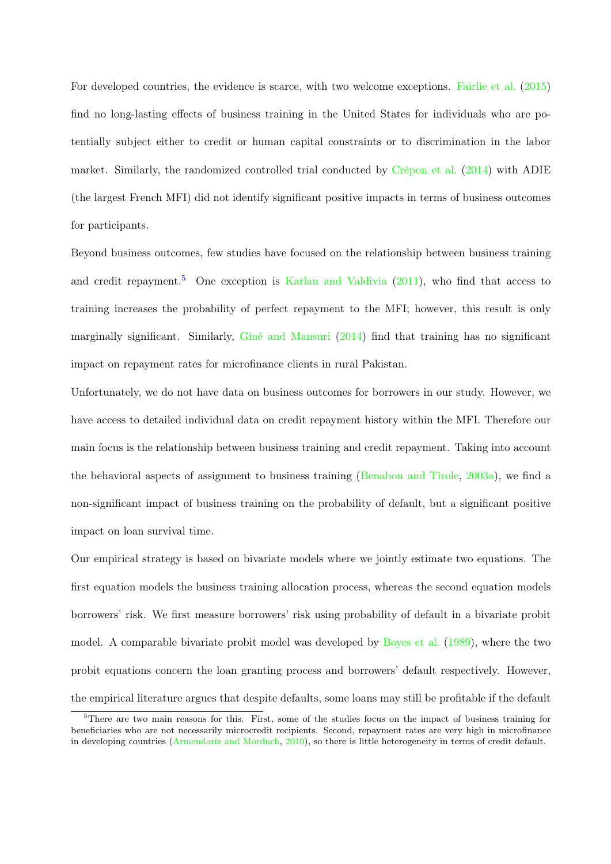<span id="page-6-1"></span>For developed countries, the evidence is scarce, with two welcome exceptions. [Fairlie et al.](#page-40-6) [\(2015\)](#page-40-6) find no long-lasting effects of business training in the United States for individuals who are potentially subject either to credit or human capital constraints or to discrimination in the labor market. Similarly, the randomized controlled trial conducted by [Crépon et al.](#page-40-7) [\(2014\)](#page-40-7) with ADIE (the largest French MFI) did not identify significant positive impacts in terms of business outcomes for participants.

Beyond business outcomes, few studies have focused on the relationship between business training and credit repayment.<sup>[5](#page-6-0)</sup> One exception is [Karlan and Valdivia](#page-41-5)  $(2011)$ , who find that access to training increases the probability of perfect repayment to the MFI; however, this result is only marginally significant. Similarly, [Giné and Mansuri](#page-40-8) [\(2014\)](#page-40-8) find that training has no significant impact on repayment rates for microfinance clients in rural Pakistan.

Unfortunately, we do not have data on business outcomes for borrowers in our study. However, we have access to detailed individual data on credit repayment history within the MFI. Therefore our main focus is the relationship between business training and credit repayment. Taking into account the behavioral aspects of assignment to business training [\(Benabou and Tirole,](#page-39-4) [2003a\)](#page-39-4), we find a non-significant impact of business training on the probability of default, but a significant positive impact on loan survival time.

Our empirical strategy is based on bivariate models where we jointly estimate two equations. The first equation models the business training allocation process, whereas the second equation models borrowers' risk. We first measure borrowers' risk using probability of default in a bivariate probit model. A comparable bivariate probit model was developed by [Boyes et al.](#page-39-5) [\(1989\)](#page-39-5), where the two probit equations concern the loan granting process and borrowers' default respectively. However, the empirical literature argues that despite defaults, some loans may still be profitable if the default

<span id="page-6-0"></span><sup>&</sup>lt;sup>5</sup>There are two main reasons for this. First, some of the studies focus on the impact of business training for beneficiaries who are not necessarily microcredit recipients. Second, repayment rates are very high in microfinance in developing countries [\(Armendariz and Morduch,](#page-39-6) [2010\)](#page-39-6), so there is little heterogeneity in terms of credit default.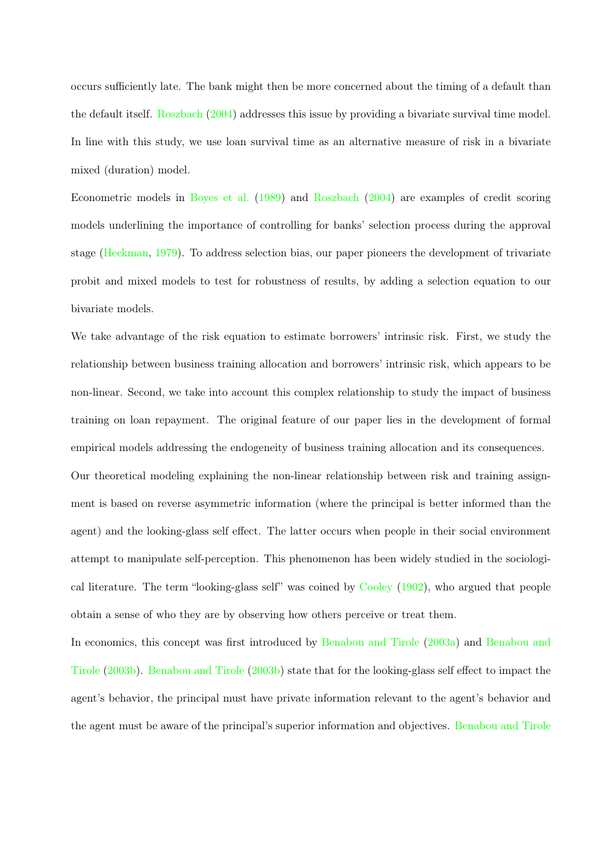<span id="page-7-0"></span>occurs sufficiently late. The bank might then be more concerned about the timing of a default than the default itself. [Roszbach](#page-41-6) [\(2004\)](#page-41-6) addresses this issue by providing a bivariate survival time model. In line with this study, we use loan survival time as an alternative measure of risk in a bivariate mixed (duration) model.

Econometric models in [Boyes et al.](#page-39-5) [\(1989\)](#page-39-5) and [Roszbach](#page-41-6) [\(2004\)](#page-41-6) are examples of credit scoring models underlining the importance of controlling for banks' selection process during the approval stage [\(Heckman,](#page-40-0) [1979\)](#page-40-0). To address selection bias, our paper pioneers the development of trivariate probit and mixed models to test for robustness of results, by adding a selection equation to our bivariate models.

We take advantage of the risk equation to estimate borrowers' intrinsic risk. First, we study the relationship between business training allocation and borrowers' intrinsic risk, which appears to be non-linear. Second, we take into account this complex relationship to study the impact of business training on loan repayment. The original feature of our paper lies in the development of formal empirical models addressing the endogeneity of business training allocation and its consequences. Our theoretical modeling explaining the non-linear relationship between risk and training assignment is based on reverse asymmetric information (where the principal is better informed than the agent) and the looking-glass self effect. The latter occurs when people in their social environment attempt to manipulate self-perception. This phenomenon has been widely studied in the sociological literature. The term "looking-glass self" was coined by [Cooley](#page-40-1) [\(1902\)](#page-40-1), who argued that people obtain a sense of who they are by observing how others perceive or treat them.

In economics, this concept was first introduced by [Benabou and Tirole](#page-39-4) [\(2003a\)](#page-39-4) and [Benabou and](#page-39-7) [Tirole](#page-39-7) [\(2003b\)](#page-39-7). [Benabou and Tirole](#page-39-7) [\(2003b\)](#page-39-7) state that for the looking-glass self effect to impact the agent's behavior, the principal must have private information relevant to the agent's behavior and the agent must be aware of the principal's superior information and objectives. [Benabou and Tirole](#page-39-4)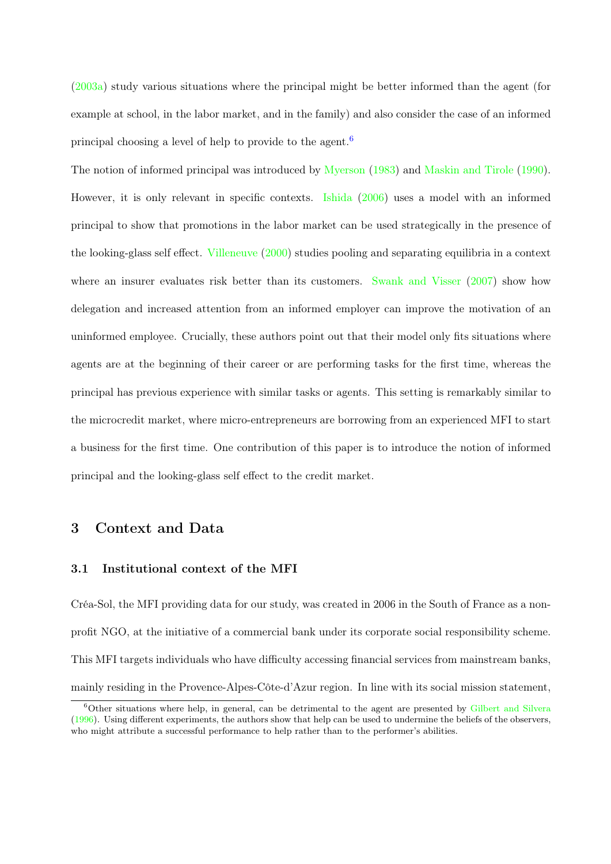<span id="page-8-1"></span>[\(2003a\)](#page-39-4) study various situations where the principal might be better informed than the agent (for example at school, in the labor market, and in the family) and also consider the case of an informed principal choosing a level of help to provide to the agent.[6](#page-8-0)

The notion of informed principal was introduced by [Myerson](#page-41-7) [\(1983\)](#page-41-7) and [Maskin and Tirole](#page-41-8) [\(1990\)](#page-41-8). However, it is only relevant in specific contexts. [Ishida](#page-41-9) [\(2006\)](#page-41-9) uses a model with an informed principal to show that promotions in the labor market can be used strategically in the presence of the looking-glass self effect. [Villeneuve](#page-42-0) [\(2000\)](#page-42-0) studies pooling and separating equilibria in a context where an insurer evaluates risk better than its customers. [Swank and Visser](#page-41-10) [\(2007\)](#page-41-10) show how delegation and increased attention from an informed employer can improve the motivation of an uninformed employee. Crucially, these authors point out that their model only fits situations where agents are at the beginning of their career or are performing tasks for the first time, whereas the principal has previous experience with similar tasks or agents. This setting is remarkably similar to the microcredit market, where micro-entrepreneurs are borrowing from an experienced MFI to start a business for the first time. One contribution of this paper is to introduce the notion of informed principal and the looking-glass self effect to the credit market.

## 3 Context and Data

### 3.1 Institutional context of the MFI

Créa-Sol, the MFI providing data for our study, was created in 2006 in the South of France as a nonprofit NGO, at the initiative of a commercial bank under its corporate social responsibility scheme. This MFI targets individuals who have difficulty accessing financial services from mainstream banks, mainly residing in the Provence-Alpes-Côte-d'Azur region. In line with its social mission statement,

<span id="page-8-0"></span><sup>6</sup>Other situations where help, in general, can be detrimental to the agent are presented by [Gilbert and Silvera](#page-40-9) [\(1996\)](#page-40-9). Using different experiments, the authors show that help can be used to undermine the beliefs of the observers, who might attribute a successful performance to help rather than to the performer's abilities.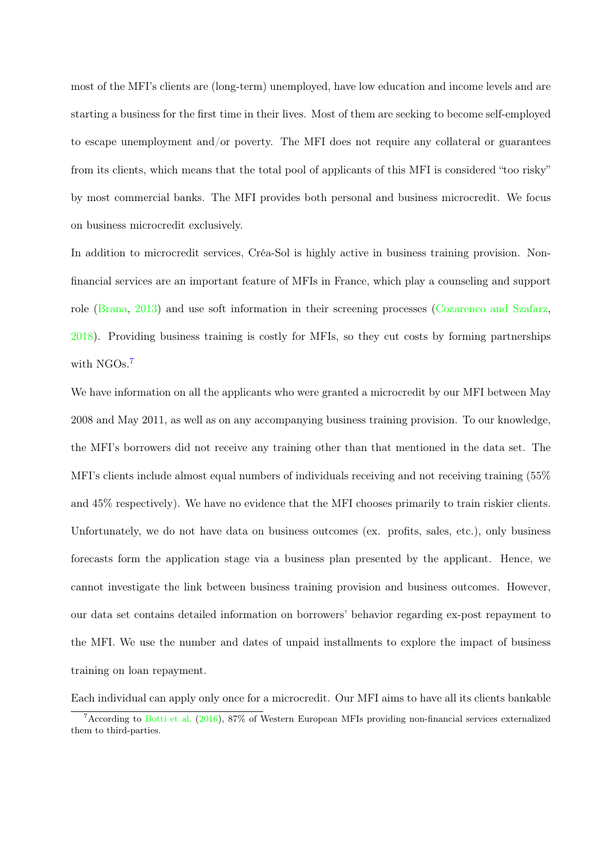<span id="page-9-1"></span>most of the MFI's clients are (long-term) unemployed, have low education and income levels and are starting a business for the first time in their lives. Most of them are seeking to become self-employed to escape unemployment and/or poverty. The MFI does not require any collateral or guarantees from its clients, which means that the total pool of applicants of this MFI is considered "too risky" by most commercial banks. The MFI provides both personal and business microcredit. We focus on business microcredit exclusively.

In addition to microcredit services, Créa-Sol is highly active in business training provision. Nonfinancial services are an important feature of MFIs in France, which play a counseling and support role [\(Brana,](#page-39-8) [2013\)](#page-39-8) and use soft information in their screening processes [\(Cozarenco and Szafarz,](#page-40-10) [2018\)](#page-40-10). Providing business training is costly for MFIs, so they cut costs by forming partnerships with NGOs.<sup>[7](#page-9-0)</sup>

We have information on all the applicants who were granted a microcredit by our MFI between May 2008 and May 2011, as well as on any accompanying business training provision. To our knowledge, the MFI's borrowers did not receive any training other than that mentioned in the data set. The MFI's clients include almost equal numbers of individuals receiving and not receiving training (55% and 45% respectively). We have no evidence that the MFI chooses primarily to train riskier clients. Unfortunately, we do not have data on business outcomes (ex. profits, sales, etc.), only business forecasts form the application stage via a business plan presented by the applicant. Hence, we cannot investigate the link between business training provision and business outcomes. However, our data set contains detailed information on borrowers' behavior regarding ex-post repayment to the MFI. We use the number and dates of unpaid installments to explore the impact of business training on loan repayment.

Each individual can apply only once for a microcredit. Our MFI aims to have all its clients bankable

<span id="page-9-0"></span><sup>7</sup>According to [Botti et al.](#page-39-1) [\(2016\)](#page-39-1), 87% of Western European MFIs providing non-financial services externalized them to third-parties.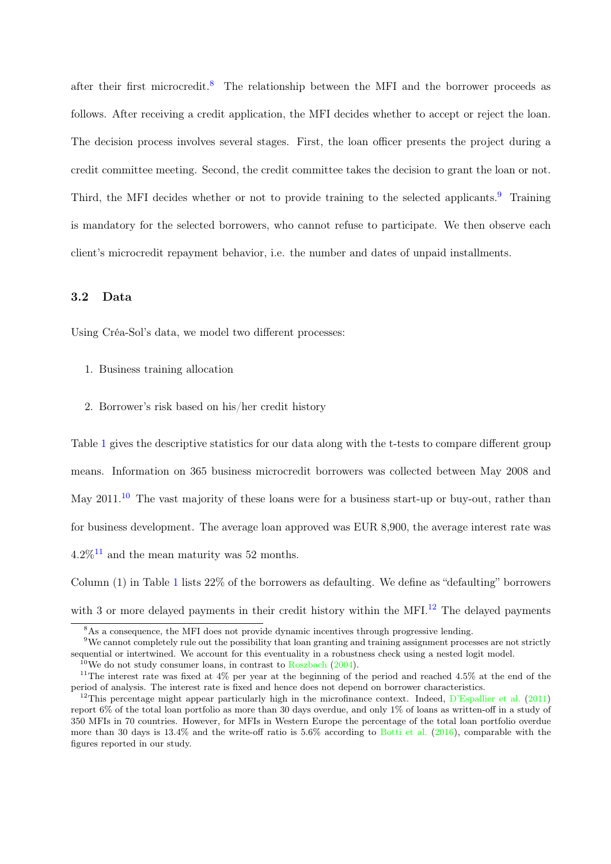<span id="page-10-5"></span>after their first microcredit.<sup>[8](#page-10-0)</sup> The relationship between the MFI and the borrower proceeds as follows. After receiving a credit application, the MFI decides whether to accept or reject the loan. The decision process involves several stages. First, the loan officer presents the project during a credit committee meeting. Second, the credit committee takes the decision to grant the loan or not. Third, the MFI decides whether or not to provide training to the selected applicants.<sup>[9](#page-10-1)</sup> Training is mandatory for the selected borrowers, who cannot refuse to participate. We then observe each client's microcredit repayment behavior, i.e. the number and dates of unpaid installments.

#### 3.2 Data

Using Créa-Sol's data, we model two different processes:

- 1. Business training allocation
- 2. Borrower's risk based on his/her credit history

Table [1](#page-11-0) gives the descriptive statistics for our data along with the t-tests to compare different group means. Information on 365 business microcredit borrowers was collected between May 2008 and May 2011.<sup>[10](#page-10-2)</sup> The vast majority of these loans were for a business start-up or buy-out, rather than for business development. The average loan approved was EUR 8,900, the average interest rate was  $4.2\%$ <sup>[11](#page-10-3)</sup> and the mean maturity was 52 months.

Column (1) in Table [1](#page-11-0) lists 22% of the borrowers as defaulting. We define as "defaulting" borrowers with 3 or more delayed payments in their credit history within the MFI.<sup>[12](#page-10-4)</sup> The delayed payments

<span id="page-10-1"></span><span id="page-10-0"></span><sup>&</sup>lt;sup>8</sup>As a consequence, the MFI does not provide dynamic incentives through progressive lending.

<sup>&</sup>lt;sup>9</sup>We cannot completely rule out the possibility that loan granting and training assignment processes are not strictly sequential or intertwined. We account for this eventuality in a robustness check using a nested logit model.

<span id="page-10-3"></span><span id="page-10-2"></span><sup>&</sup>lt;sup>10</sup>We do not study consumer loans, in contrast to [Roszbach](#page-41-6)  $(2004)$ .

<sup>&</sup>lt;sup>11</sup>The interest rate was fixed at  $4\%$  per year at the beginning of the period and reached  $4.5\%$  at the end of the period of analysis. The interest rate is fixed and hence does not depend on borrower characteristics.

<span id="page-10-4"></span><sup>&</sup>lt;sup>12</sup>This percentage might appear particularly high in the microfinance context. Indeed,  $D'Espallier$  et al. [\(2011\)](#page-40-11) report 6% of the total loan portfolio as more than 30 days overdue, and only 1% of loans as written-off in a study of 350 MFIs in 70 countries. However, for MFIs in Western Europe the percentage of the total loan portfolio overdue more than 30 days is 13.4% and the write-off ratio is 5.6% according to [Botti et al.](#page-39-1) [\(2016\)](#page-39-1), comparable with the figures reported in our study.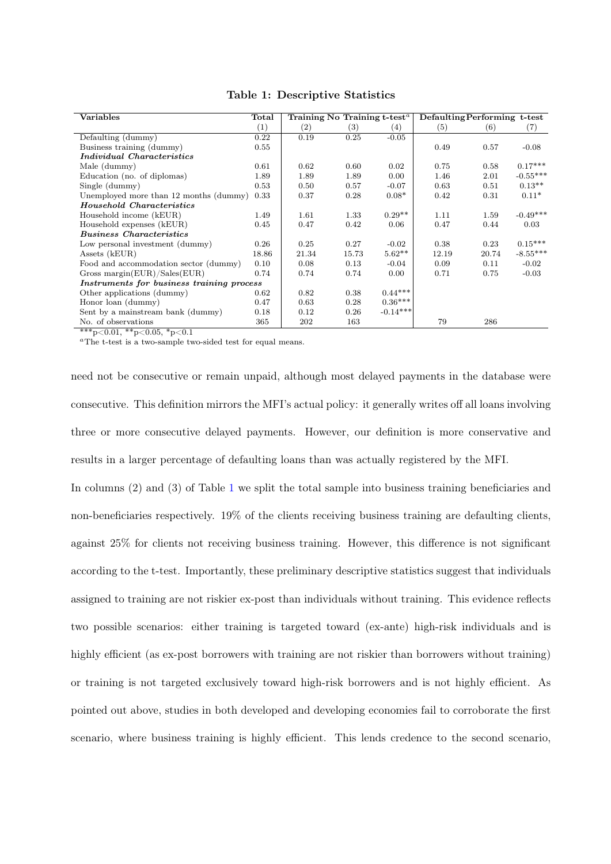<span id="page-11-0"></span>

| <b>Variables</b>                          | Total    | Training No Training $t$ -test <sup><math>a</math></sup> |       |                   | Defaulting Performing t-test |       |            |
|-------------------------------------------|----------|----------------------------------------------------------|-------|-------------------|------------------------------|-------|------------|
|                                           | (1)      | (2)                                                      | (3)   | $\left( 4\right)$ | (5)                          | (6)   | (7)        |
| Defaulting (dummy)                        | 0.22     | 0.19                                                     | 0.25  | $-0.05$           |                              |       |            |
| Business training (dummy)                 | $0.55\,$ |                                                          |       |                   | 0.49                         | 0.57  | $-0.08$    |
| <i>Individual Characteristics</i>         |          |                                                          |       |                   |                              |       |            |
| Male (dummy)                              | 0.61     | 0.62                                                     | 0.60  | 0.02              | 0.75                         | 0.58  | $0.17***$  |
| Education (no. of diplomas)               | 1.89     | 1.89                                                     | 1.89  | 0.00              | 1.46                         | 2.01  | $-0.55***$ |
| Single (dummy)                            | 0.53     | 0.50                                                     | 0.57  | $-0.07$           | 0.63                         | 0.51  | $0.13**$   |
| Unemployed more than 12 months (dummy)    | 0.33     | 0.37                                                     | 0.28  | $0.08*$           | 0.42                         | 0.31  | $0.11*$    |
| <b>Household Characteristics</b>          |          |                                                          |       |                   |                              |       |            |
| Household income (kEUR)                   | 1.49     | 1.61                                                     | 1.33  | $0.29**$          | 1.11                         | 1.59  | $-0.49***$ |
| Household expenses (kEUR)                 | 0.45     | 0.47                                                     | 0.42  | 0.06              | 0.47                         | 0.44  | 0.03       |
| <b>Business Characteristics</b>           |          |                                                          |       |                   |                              |       |            |
| Low personal investment (dummy)           | 0.26     | 0.25                                                     | 0.27  | $-0.02$           | 0.38                         | 0.23  | $0.15***$  |
| Assets (kEUR)                             | 18.86    | 21.34                                                    | 15.73 | $5.62**$          | 12.19                        | 20.74 | $-8.55***$ |
| Food and accommodation sector (dummy)     | 0.10     | 0.08                                                     | 0.13  | $-0.04$           | 0.09                         | 0.11  | $-0.02$    |
| Gross margin( $EUR$ )/Sales( $EUR$ )      | 0.74     | 0.74                                                     | 0.74  | 0.00              | 0.71                         | 0.75  | $-0.03$    |
| Instruments for business training process |          |                                                          |       |                   |                              |       |            |
| Other applications (dummy)                | 0.62     | 0.82                                                     | 0.38  | $0.44***$         |                              |       |            |
| Honor loan (dummy)                        | 0.47     | 0.63                                                     | 0.28  | $0.36***$         |                              |       |            |
| Sent by a mainstream bank (dummy)         | 0.18     | 0.12                                                     | 0.26  | $-0.14***$        |                              |       |            |
| No. of observations                       | 365      | 202                                                      | 163   |                   | 79                           | 286   |            |

Table 1: Descriptive Statistics

 $\sqrt[3*]{p}$ <0.01,  $\sqrt[3*]{p}$ <0.05,  $\sqrt[3*]{p}$ 

<sup>a</sup>The t-test is a two-sample two-sided test for equal means.

need not be consecutive or remain unpaid, although most delayed payments in the database were consecutive. This definition mirrors the MFI's actual policy: it generally writes off all loans involving three or more consecutive delayed payments. However, our definition is more conservative and results in a larger percentage of defaulting loans than was actually registered by the MFI.

In columns (2) and (3) of Table [1](#page-11-0) we split the total sample into business training beneficiaries and non-beneficiaries respectively. 19% of the clients receiving business training are defaulting clients, against 25% for clients not receiving business training. However, this difference is not significant according to the t-test. Importantly, these preliminary descriptive statistics suggest that individuals assigned to training are not riskier ex-post than individuals without training. This evidence reflects two possible scenarios: either training is targeted toward (ex-ante) high-risk individuals and is highly efficient (as ex-post borrowers with training are not riskier than borrowers without training) or training is not targeted exclusively toward high-risk borrowers and is not highly efficient. As pointed out above, studies in both developed and developing economies fail to corroborate the first scenario, where business training is highly efficient. This lends credence to the second scenario,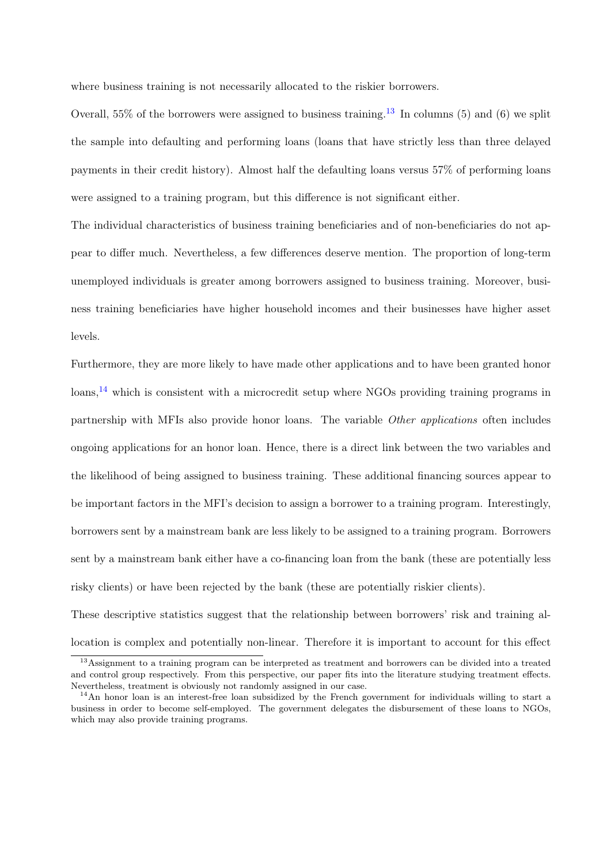where business training is not necessarily allocated to the riskier borrowers.

Overall, 55% of the borrowers were assigned to business training.<sup>[13](#page-12-0)</sup> In columns (5) and (6) we split the sample into defaulting and performing loans (loans that have strictly less than three delayed payments in their credit history). Almost half the defaulting loans versus 57% of performing loans were assigned to a training program, but this difference is not significant either.

The individual characteristics of business training beneficiaries and of non-beneficiaries do not appear to differ much. Nevertheless, a few differences deserve mention. The proportion of long-term unemployed individuals is greater among borrowers assigned to business training. Moreover, business training beneficiaries have higher household incomes and their businesses have higher asset levels.

Furthermore, they are more likely to have made other applications and to have been granted honor loans,<sup>[14](#page-12-1)</sup> which is consistent with a microcredit setup where NGOs providing training programs in partnership with MFIs also provide honor loans. The variable Other applications often includes ongoing applications for an honor loan. Hence, there is a direct link between the two variables and the likelihood of being assigned to business training. These additional financing sources appear to be important factors in the MFI's decision to assign a borrower to a training program. Interestingly, borrowers sent by a mainstream bank are less likely to be assigned to a training program. Borrowers sent by a mainstream bank either have a co-financing loan from the bank (these are potentially less risky clients) or have been rejected by the bank (these are potentially riskier clients).

These descriptive statistics suggest that the relationship between borrowers' risk and training allocation is complex and potentially non-linear. Therefore it is important to account for this effect

<span id="page-12-0"></span><sup>13</sup>Assignment to a training program can be interpreted as treatment and borrowers can be divided into a treated and control group respectively. From this perspective, our paper fits into the literature studying treatment effects. Nevertheless, treatment is obviously not randomly assigned in our case.

<span id="page-12-1"></span><sup>&</sup>lt;sup>14</sup>An honor loan is an interest-free loan subsidized by the French government for individuals willing to start a business in order to become self-employed. The government delegates the disbursement of these loans to NGOs, which may also provide training programs.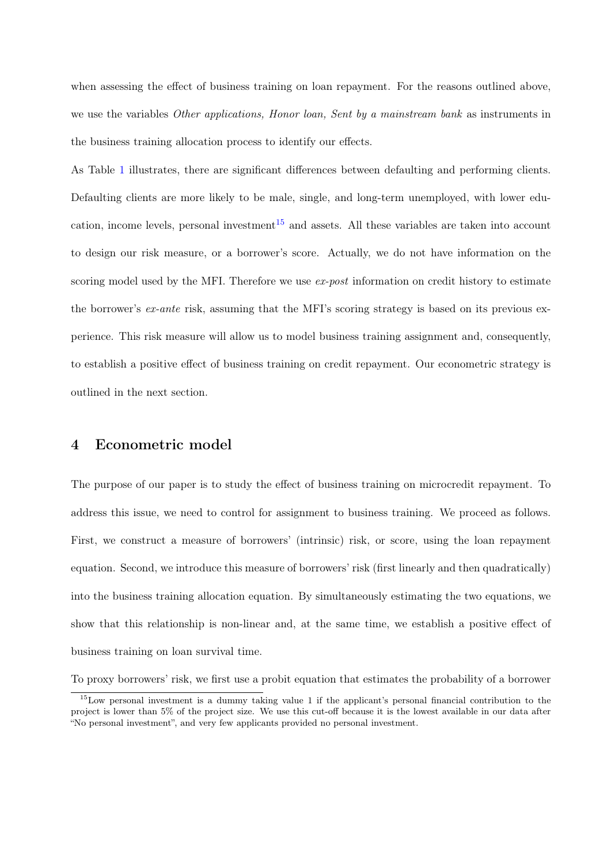when assessing the effect of business training on loan repayment. For the reasons outlined above, we use the variables *Other applications, Honor loan, Sent by a mainstream bank* as instruments in the business training allocation process to identify our effects.

As Table [1](#page-11-0) illustrates, there are significant differences between defaulting and performing clients. Defaulting clients are more likely to be male, single, and long-term unemployed, with lower edu-cation, income levels, personal investment<sup>[15](#page-13-0)</sup> and assets. All these variables are taken into account to design our risk measure, or a borrower's score. Actually, we do not have information on the scoring model used by the MFI. Therefore we use ex-post information on credit history to estimate the borrower's ex-ante risk, assuming that the MFI's scoring strategy is based on its previous experience. This risk measure will allow us to model business training assignment and, consequently, to establish a positive effect of business training on credit repayment. Our econometric strategy is outlined in the next section.

## 4 Econometric model

The purpose of our paper is to study the effect of business training on microcredit repayment. To address this issue, we need to control for assignment to business training. We proceed as follows. First, we construct a measure of borrowers' (intrinsic) risk, or score, using the loan repayment equation. Second, we introduce this measure of borrowers' risk (first linearly and then quadratically) into the business training allocation equation. By simultaneously estimating the two equations, we show that this relationship is non-linear and, at the same time, we establish a positive effect of business training on loan survival time.

To proxy borrowers' risk, we first use a probit equation that estimates the probability of a borrower

<span id="page-13-0"></span><sup>15</sup>Low personal investment is a dummy taking value 1 if the applicant's personal financial contribution to the project is lower than 5% of the project size. We use this cut-off because it is the lowest available in our data after "No personal investment", and very few applicants provided no personal investment.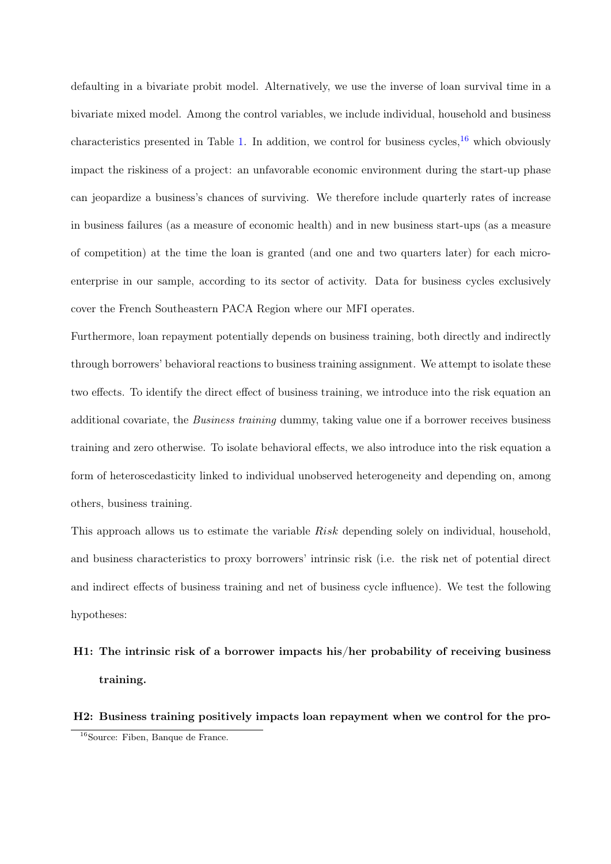defaulting in a bivariate probit model. Alternatively, we use the inverse of loan survival time in a bivariate mixed model. Among the control variables, we include individual, household and business characteristics presented in Table [1.](#page-11-0) In addition, we control for business cycles,  $^{16}$  $^{16}$  $^{16}$  which obviously impact the riskiness of a project: an unfavorable economic environment during the start-up phase can jeopardize a business's chances of surviving. We therefore include quarterly rates of increase in business failures (as a measure of economic health) and in new business start-ups (as a measure of competition) at the time the loan is granted (and one and two quarters later) for each microenterprise in our sample, according to its sector of activity. Data for business cycles exclusively cover the French Southeastern PACA Region where our MFI operates.

Furthermore, loan repayment potentially depends on business training, both directly and indirectly through borrowers' behavioral reactions to business training assignment. We attempt to isolate these two effects. To identify the direct effect of business training, we introduce into the risk equation an additional covariate, the Business training dummy, taking value one if a borrower receives business training and zero otherwise. To isolate behavioral effects, we also introduce into the risk equation a form of heteroscedasticity linked to individual unobserved heterogeneity and depending on, among others, business training.

This approach allows us to estimate the variable Risk depending solely on individual, household, and business characteristics to proxy borrowers' intrinsic risk (i.e. the risk net of potential direct and indirect effects of business training and net of business cycle influence). We test the following hypotheses:

# H1: The intrinsic risk of a borrower impacts his/her probability of receiving business training.

H2: Business training positively impacts loan repayment when we control for the pro-

<span id="page-14-0"></span><sup>&</sup>lt;sup>16</sup>Source: Fiben, Banque de France.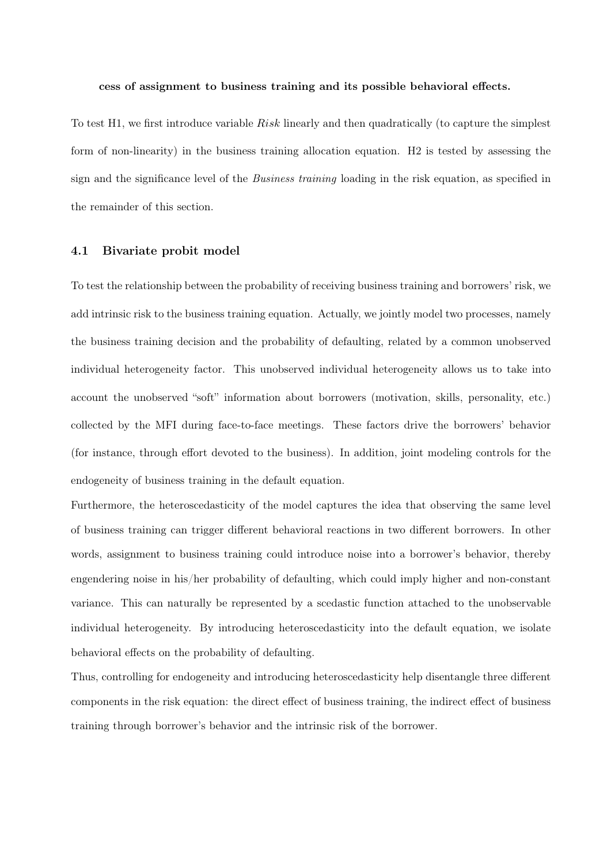#### cess of assignment to business training and its possible behavioral effects.

To test H1, we first introduce variable Risk linearly and then quadratically (to capture the simplest form of non-linearity) in the business training allocation equation. H2 is tested by assessing the sign and the significance level of the *Business training* loading in the risk equation, as specified in the remainder of this section.

#### 4.1 Bivariate probit model

To test the relationship between the probability of receiving business training and borrowers' risk, we add intrinsic risk to the business training equation. Actually, we jointly model two processes, namely the business training decision and the probability of defaulting, related by a common unobserved individual heterogeneity factor. This unobserved individual heterogeneity allows us to take into account the unobserved "soft" information about borrowers (motivation, skills, personality, etc.) collected by the MFI during face-to-face meetings. These factors drive the borrowers' behavior (for instance, through effort devoted to the business). In addition, joint modeling controls for the endogeneity of business training in the default equation.

Furthermore, the heteroscedasticity of the model captures the idea that observing the same level of business training can trigger different behavioral reactions in two different borrowers. In other words, assignment to business training could introduce noise into a borrower's behavior, thereby engendering noise in his/her probability of defaulting, which could imply higher and non-constant variance. This can naturally be represented by a scedastic function attached to the unobservable individual heterogeneity. By introducing heteroscedasticity into the default equation, we isolate behavioral effects on the probability of defaulting.

Thus, controlling for endogeneity and introducing heteroscedasticity help disentangle three different components in the risk equation: the direct effect of business training, the indirect effect of business training through borrower's behavior and the intrinsic risk of the borrower.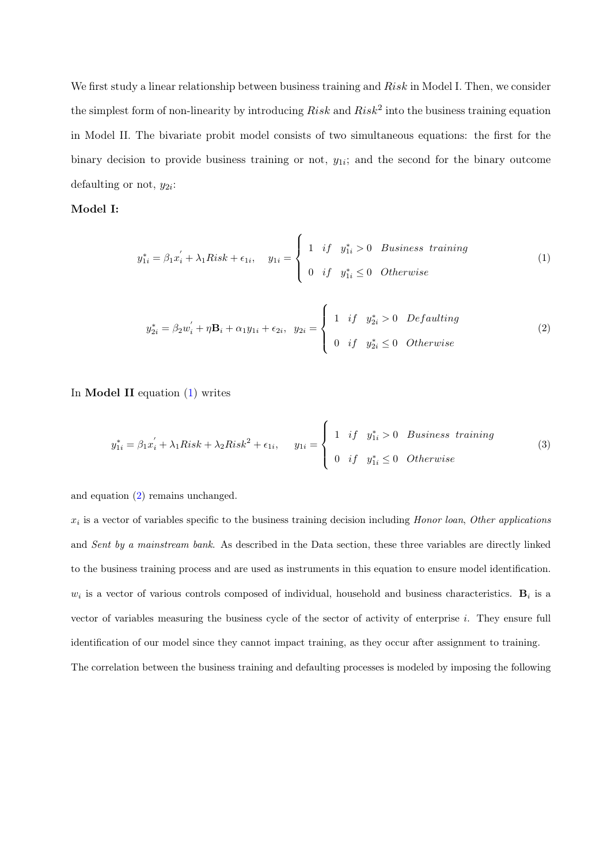We first study a linear relationship between business training and  $Risk$  in Model I. Then, we consider the simplest form of non-linearity by introducing  $Risk$  and  $Risk^2$  into the business training equation in Model II. The bivariate probit model consists of two simultaneous equations: the first for the binary decision to provide business training or not,  $y_{1i}$ ; and the second for the binary outcome defaulting or not,  $y_{2i}$ :

#### Model I:

<span id="page-16-0"></span>
$$
y_{1i}^* = \beta_1 x_i^{'} + \lambda_1 Risk + \epsilon_{1i}, \quad y_{1i} = \begin{cases} 1 & \text{if} \quad y_{1i}^* > 0 & \text{Business training} \\ 0 & \text{if} \quad y_{1i}^* \le 0 & \text{Otherwise} \end{cases}
$$
 (1)

<span id="page-16-1"></span>
$$
y_{2i}^* = \beta_2 w_i' + \eta \mathbf{B}_i + \alpha_1 y_{1i} + \epsilon_{2i}, \quad y_{2i} = \begin{cases} 1 & \text{if} \quad y_{2i}^* > 0 \quad Defaulting\\ 0 & \text{if} \quad y_{2i}^* \le 0 \quad Otherwise \end{cases}
$$
 (2)

In **Model II** equation  $(1)$  writes

<span id="page-16-2"></span>
$$
y_{1i}^* = \beta_1 x_i^{'} + \lambda_1 Risk + \lambda_2 Risk^2 + \epsilon_{1i}, \qquad y_{1i} = \begin{cases} 1 & \text{if} \quad y_{1i}^* > 0 \quad Business \quad training \\ 0 & \text{if} \quad y_{1i}^* \le 0 \quad Otherwise \end{cases} \tag{3}
$$

and equation [\(2\)](#page-16-1) remains unchanged.

 $x_i$  is a vector of variables specific to the business training decision including Honor loan, Other applications and Sent by a mainstream bank. As described in the Data section, these three variables are directly linked to the business training process and are used as instruments in this equation to ensure model identification.  $w_i$  is a vector of various controls composed of individual, household and business characteristics.  $B_i$  is a vector of variables measuring the business cycle of the sector of activity of enterprise i. They ensure full identification of our model since they cannot impact training, as they occur after assignment to training. The correlation between the business training and defaulting processes is modeled by imposing the following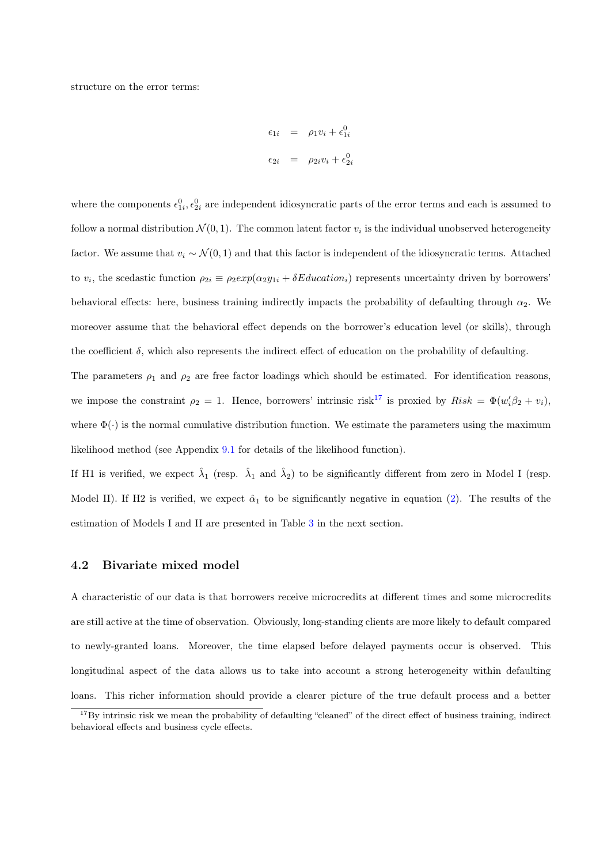structure on the error terms:

$$
\epsilon_{1i} = \rho_1 v_i + \epsilon_{1i}^0
$$
  

$$
\epsilon_{2i} = \rho_{2i} v_i + \epsilon_{2i}^0
$$

where the components  $\epsilon_{1i}^0, \epsilon_{2i}^0$  are independent idiosyncratic parts of the error terms and each is assumed to follow a normal distribution  $\mathcal{N}(0,1)$ . The common latent factor  $v_i$  is the individual unobserved heterogeneity factor. We assume that  $v_i \sim \mathcal{N}(0, 1)$  and that this factor is independent of the idiosyncratic terms. Attached to  $v_i$ , the scedastic function  $\rho_{2i} \equiv \rho_2 exp(\alpha_2 y_{1i} + \delta Education_i)$  represents uncertainty driven by borrowers' behavioral effects: here, business training indirectly impacts the probability of defaulting through  $\alpha_2$ . We moreover assume that the behavioral effect depends on the borrower's education level (or skills), through the coefficient  $\delta$ , which also represents the indirect effect of education on the probability of defaulting.

The parameters  $\rho_1$  and  $\rho_2$  are free factor loadings which should be estimated. For identification reasons, we impose the constraint  $\rho_2 = 1$ . Hence, borrowers' intrinsic risk<sup>[17](#page-17-0)</sup> is proxied by  $Risk = \Phi(w_i'\beta_2 + v_i)$ , where  $\Phi(\cdot)$  is the normal cumulative distribution function. We estimate the parameters using the maximum likelihood method (see Appendix [9.1](#page-34-0) for details of the likelihood function).

If H1 is verified, we expect  $\hat{\lambda}_1$  (resp.  $\hat{\lambda}_1$  and  $\hat{\lambda}_2$ ) to be significantly different from zero in Model I (resp. Model II). If H2 is verified, we expect  $\hat{\alpha}_1$  to be significantly negative in equation [\(2\)](#page-16-1). The results of the estimation of Models I and II are presented in Table [3](#page-20-0) in the next section.

#### 4.2 Bivariate mixed model

A characteristic of our data is that borrowers receive microcredits at different times and some microcredits are still active at the time of observation. Obviously, long-standing clients are more likely to default compared to newly-granted loans. Moreover, the time elapsed before delayed payments occur is observed. This longitudinal aspect of the data allows us to take into account a strong heterogeneity within defaulting loans. This richer information should provide a clearer picture of the true default process and a better

<span id="page-17-0"></span> $17By$  intrinsic risk we mean the probability of defaulting "cleaned" of the direct effect of business training, indirect behavioral effects and business cycle effects.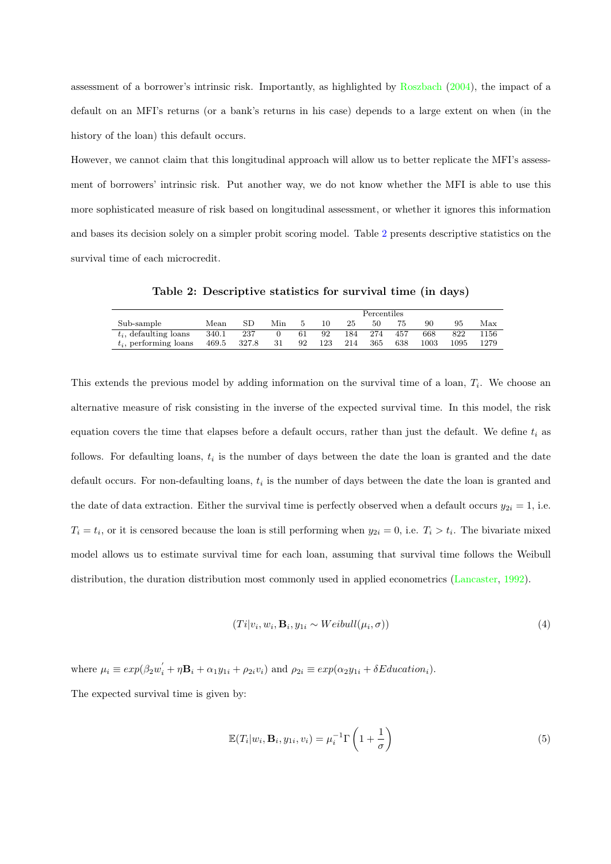<span id="page-18-2"></span>assessment of a borrower's intrinsic risk. Importantly, as highlighted by [Roszbach](#page-41-6) [\(2004\)](#page-41-6), the impact of a default on an MFI's returns (or a bank's returns in his case) depends to a large extent on when (in the history of the loan) this default occurs.

However, we cannot claim that this longitudinal approach will allow us to better replicate the MFI's assessment of borrowers' intrinsic risk. Put another way, we do not know whether the MFI is able to use this more sophisticated measure of risk based on longitudinal assessment, or whether it ignores this information and bases its decision solely on a simpler probit scoring model. Table [2](#page-18-0) presents descriptive statistics on the survival time of each microcredit.

Table 2: Descriptive statistics for survival time (in days)

<span id="page-18-0"></span>

|       |       | <b>Percentiles</b> |    |     |     |     |     |          |      |      |
|-------|-------|--------------------|----|-----|-----|-----|-----|----------|------|------|
| Mean  | SD    | Min                |    |     | 25  | 50  | 75  | 90       | 95   | Max  |
| 340.1 | 237   |                    | 61 | 92  | 184 | 274 | 457 | 668      | 822  | 1156 |
| 469.5 | 327.8 | 31                 | 92 | 123 | 214 | 365 | 638 | $1003\,$ | 1095 | 1279 |
|       |       |                    |    |     |     |     |     |          |      |      |

This extends the previous model by adding information on the survival time of a loan,  $T_i$ . We choose an alternative measure of risk consisting in the inverse of the expected survival time. In this model, the risk equation covers the time that elapses before a default occurs, rather than just the default. We define  $t_i$  as follows. For defaulting loans,  $t_i$  is the number of days between the date the loan is granted and the date default occurs. For non-defaulting loans,  $t_i$  is the number of days between the date the loan is granted and the date of data extraction. Either the survival time is perfectly observed when a default occurs  $y_{2i} = 1$ , i.e.  $T_i = t_i$ , or it is censored because the loan is still performing when  $y_{2i} = 0$ , i.e.  $T_i > t_i$ . The bivariate mixed model allows us to estimate survival time for each loan, assuming that survival time follows the Weibull distribution, the duration distribution most commonly used in applied econometrics [\(Lancaster,](#page-41-11) [1992\)](#page-41-11).

<span id="page-18-1"></span>
$$
(Ti|v_i, w_i, \mathbf{B}_i, y_{1i} \sim Weibull(\mu_i, \sigma))
$$
\n<sup>(4)</sup>

where  $\mu_i \equiv exp(\beta_2 w_i' + \eta \mathbf{B}_i + \alpha_1 y_{1i} + \rho_{2i} v_i)$  and  $\rho_{2i} \equiv exp(\alpha_2 y_{1i} + \delta Education_i)$ .

The expected survival time is given by:

$$
\mathbb{E}(T_i|w_i, \mathbf{B}_i, y_{1i}, v_i) = \mu_i^{-1} \Gamma\left(1 + \frac{1}{\sigma}\right)
$$
\n(5)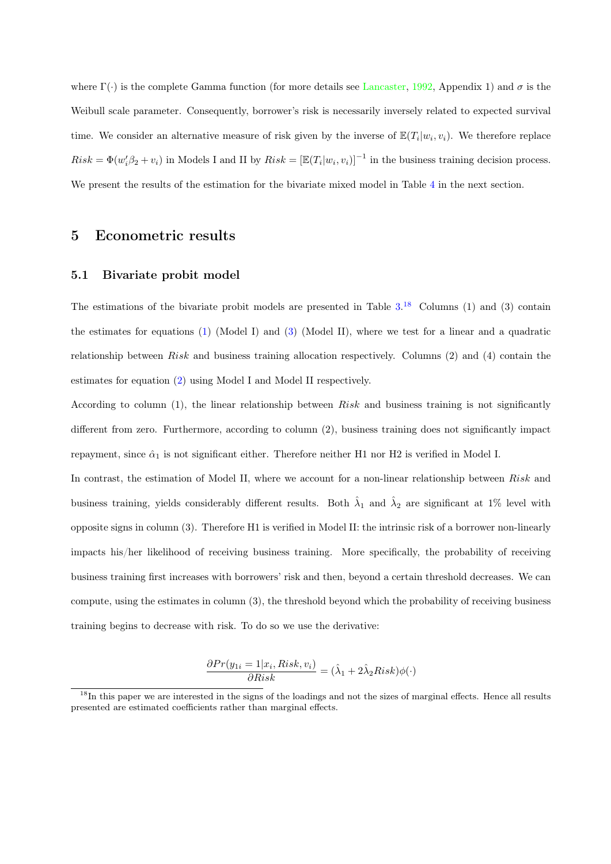<span id="page-19-1"></span>where  $\Gamma(\cdot)$  is the complete Gamma function (for more details see [Lancaster,](#page-41-11) [1992,](#page-41-11) Appendix 1) and  $\sigma$  is the Weibull scale parameter. Consequently, borrower's risk is necessarily inversely related to expected survival time. We consider an alternative measure of risk given by the inverse of  $\mathbb{E}(T_i|w_i,v_i)$ . We therefore replace  $Risk = \Phi(w_i'\beta_2 + v_i)$  in Models I and II by  $Risk = [\mathbb{E}(T_i|w_i, v_i)]^{-1}$  in the business training decision process. We present the results of the estimation for the bivariate mixed model in Table [4](#page-22-0) in the next section.

## 5 Econometric results

#### 5.1 Bivariate probit model

The estimations of the bivariate probit models are presented in Table  $3.^{18}$  $3.^{18}$  $3.^{18}$  $3.^{18}$  Columns (1) and (3) contain the estimates for equations [\(1\)](#page-16-0) (Model I) and [\(3\)](#page-16-2) (Model II), where we test for a linear and a quadratic relationship between Risk and business training allocation respectively. Columns  $(2)$  and  $(4)$  contain the estimates for equation [\(2\)](#page-16-1) using Model I and Model II respectively.

According to column (1), the linear relationship between Risk and business training is not significantly different from zero. Furthermore, according to column (2), business training does not significantly impact repayment, since  $\hat{\alpha}_1$  is not significant either. Therefore neither H1 nor H2 is verified in Model I.

In contrast, the estimation of Model II, where we account for a non-linear relationship between Risk and business training, yields considerably different results. Both  $\hat{\lambda}_1$  and  $\hat{\lambda}_2$  are significant at 1% level with opposite signs in column (3). Therefore H1 is verified in Model II: the intrinsic risk of a borrower non-linearly impacts his/her likelihood of receiving business training. More specifically, the probability of receiving business training first increases with borrowers' risk and then, beyond a certain threshold decreases. We can compute, using the estimates in column (3), the threshold beyond which the probability of receiving business training begins to decrease with risk. To do so we use the derivative:

$$
\frac{\partial Pr(y_{1i}=1|x_i, Risk, v_i)}{\partial Risk} = (\hat{\lambda}_1 + 2\hat{\lambda}_2 Risk)\phi(\cdot)
$$

<span id="page-19-0"></span><sup>&</sup>lt;sup>18</sup>In this paper we are interested in the signs of the loadings and not the sizes of marginal effects. Hence all results presented are estimated coefficients rather than marginal effects.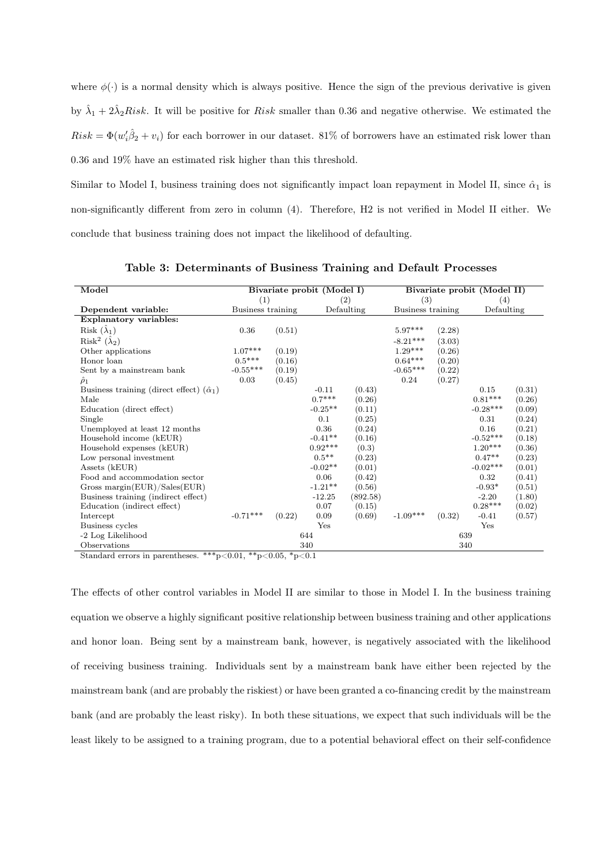where  $\phi(\cdot)$  is a normal density which is always positive. Hence the sign of the previous derivative is given by  $\hat{\lambda}_1 + 2\hat{\lambda}_2 Risk$ . It will be positive for *Risk* smaller than 0.36 and negative otherwise. We estimated the  $Risk = \Phi(w_i'\hat{\beta}_2 + v_i)$  for each borrower in our dataset. 81% of borrowers have an estimated risk lower than

0.36 and 19% have an estimated risk higher than this threshold.

Similar to Model I, business training does not significantly impact loan repayment in Model II, since  $\hat{\alpha}_1$  is non-significantly different from zero in column (4). Therefore, H2 is not verified in Model II either. We conclude that business training does not impact the likelihood of defaulting.

<span id="page-20-0"></span>

|                                                      |                   |        |                            |            | Bivariate probit (Model II) |        |            |        |  |  |
|------------------------------------------------------|-------------------|--------|----------------------------|------------|-----------------------------|--------|------------|--------|--|--|
| Model                                                |                   |        | Bivariate probit (Model I) |            |                             |        |            |        |  |  |
|                                                      | (1)               |        |                            | (2)        | (3)                         |        | (4)        |        |  |  |
| Dependent variable:                                  | Business training |        |                            | Defaulting | Business training           |        | Defaulting |        |  |  |
| Explanatory variables:                               |                   |        |                            |            |                             |        |            |        |  |  |
| Risk $(\hat{\lambda}_1)$                             | 0.36              | (0.51) |                            |            | $5.97***$                   | (2.28) |            |        |  |  |
| Risk <sup>2</sup> $(\hat{\lambda}_2)$                |                   |        |                            |            | $-8.21***$                  | (3.03) |            |        |  |  |
| Other applications                                   | $1.07***$         | (0.19) |                            |            | $1.29***$                   | (0.26) |            |        |  |  |
| Honor loan                                           | $0.5***$          | (0.16) |                            |            | $0.64***$                   | (0.20) |            |        |  |  |
| Sent by a mainstream bank                            | $-0.55***$        | (0.19) |                            |            | $-0.65***$                  | (0.22) |            |        |  |  |
| $\hat{\rho}_1$                                       | 0.03              | (0.45) |                            |            | 0.24                        | (0.27) |            |        |  |  |
| Business training (direct effect) $(\hat{\alpha}_1)$ |                   |        | $-0.11$                    | (0.43)     |                             |        | 0.15       | (0.31) |  |  |
| Male                                                 |                   |        | $0.7***$                   | (0.26)     |                             |        | $0.81***$  | (0.26) |  |  |
| Education (direct effect)                            |                   |        | $-0.25**$                  | (0.11)     |                             |        | $-0.28***$ | (0.09) |  |  |
| Single                                               |                   |        | 0.1                        | (0.25)     |                             |        | 0.31       | (0.24) |  |  |
| Unemployed at least $12$ months $\,$                 |                   |        | 0.36                       | (0.24)     |                             |        | 0.16       | (0.21) |  |  |
| Household income (kEUR)                              |                   |        | $-0.41**$                  | (0.16)     |                             |        | $-0.52***$ | (0.18) |  |  |
| Household expenses (kEUR)                            |                   |        | $0.92***$                  | (0.3)      |                             |        | $1.20***$  | (0.36) |  |  |
| Low personal investment                              |                   |        | $0.5***$                   | (0.23)     |                             |        | $0.47**$   | (0.23) |  |  |
| Assets (kEUR)                                        |                   |        | $-0.02**$                  | (0.01)     |                             |        | $-0.02***$ | (0.01) |  |  |
| Food and accommodation sector                        |                   |        | 0.06                       | (0.42)     |                             |        | 0.32       | (0.41) |  |  |
| Gross margin $(EUR)/Sales(EUR)$                      |                   |        | $-1.21**$                  | (0.56)     |                             |        | $-0.93*$   | (0.51) |  |  |
| Business training (indirect effect)                  |                   |        | $-12.25$                   | (892.58)   |                             |        | $-2.20$    | (1.80) |  |  |
| Education (indirect effect)                          |                   |        | 0.07                       | (0.15)     |                             |        | $0.28***$  | (0.02) |  |  |
| Intercept                                            | $-0.71***$        | (0.22) | 0.09                       | (0.69)     | $-1.09***$                  | (0.32) | $-0.41$    | (0.57) |  |  |
| Business cycles                                      |                   |        | Yes                        |            |                             |        | Yes        |        |  |  |
| -2 Log Likelihood                                    |                   |        | 644                        |            |                             | 639    |            |        |  |  |
| Observations                                         |                   |        | 340                        |            |                             |        | 340        |        |  |  |

Table 3: Determinants of Business Training and Default Processes

Standard errors in parentheses. \*\*\*p $<0.01$ , \*\*p $<0.05$ , \*p $<0.1$ 

The effects of other control variables in Model II are similar to those in Model I. In the business training equation we observe a highly significant positive relationship between business training and other applications and honor loan. Being sent by a mainstream bank, however, is negatively associated with the likelihood of receiving business training. Individuals sent by a mainstream bank have either been rejected by the mainstream bank (and are probably the riskiest) or have been granted a co-financing credit by the mainstream bank (and are probably the least risky). In both these situations, we expect that such individuals will be the least likely to be assigned to a training program, due to a potential behavioral effect on their self-confidence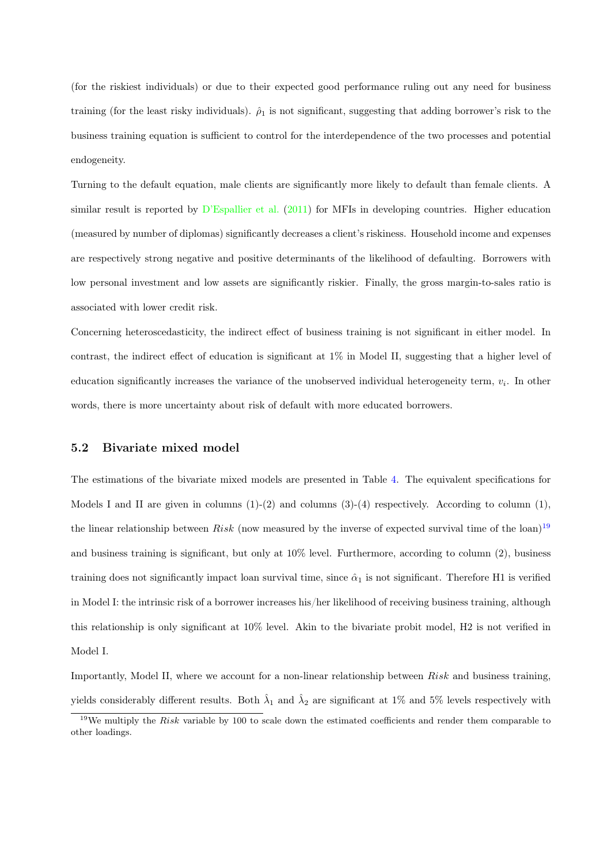<span id="page-21-1"></span>(for the riskiest individuals) or due to their expected good performance ruling out any need for business training (for the least risky individuals).  $\hat{\rho}_1$  is not significant, suggesting that adding borrower's risk to the business training equation is sufficient to control for the interdependence of the two processes and potential endogeneity.

Turning to the default equation, male clients are significantly more likely to default than female clients. A similar result is reported by [D'Espallier et al.](#page-40-11) [\(2011\)](#page-40-11) for MFIs in developing countries. Higher education (measured by number of diplomas) significantly decreases a client's riskiness. Household income and expenses are respectively strong negative and positive determinants of the likelihood of defaulting. Borrowers with low personal investment and low assets are significantly riskier. Finally, the gross margin-to-sales ratio is associated with lower credit risk.

Concerning heteroscedasticity, the indirect effect of business training is not significant in either model. In contrast, the indirect effect of education is significant at 1% in Model II, suggesting that a higher level of education significantly increases the variance of the unobserved individual heterogeneity term,  $v_i$ . In other words, there is more uncertainty about risk of default with more educated borrowers.

#### 5.2 Bivariate mixed model

The estimations of the bivariate mixed models are presented in Table [4.](#page-22-0) The equivalent specifications for Models I and II are given in columns  $(1)-(2)$  and columns  $(3)-(4)$  respectively. According to column  $(1)$ , the linear relationship between Risk (now measured by the inverse of expected survival time of the loan)<sup>[19](#page-21-0)</sup> and business training is significant, but only at 10% level. Furthermore, according to column (2), business training does not significantly impact loan survival time, since  $\hat{\alpha}_1$  is not significant. Therefore H1 is verified in Model I: the intrinsic risk of a borrower increases his/her likelihood of receiving business training, although this relationship is only significant at 10% level. Akin to the bivariate probit model, H2 is not verified in Model I.

Importantly, Model II, where we account for a non-linear relationship between Risk and business training, yields considerably different results. Both  $\hat{\lambda}_1$  and  $\hat{\lambda}_2$  are significant at 1% and 5% levels respectively with

<span id="page-21-0"></span> $19$ We multiply the *Risk* variable by 100 to scale down the estimated coefficients and render them comparable to other loadings.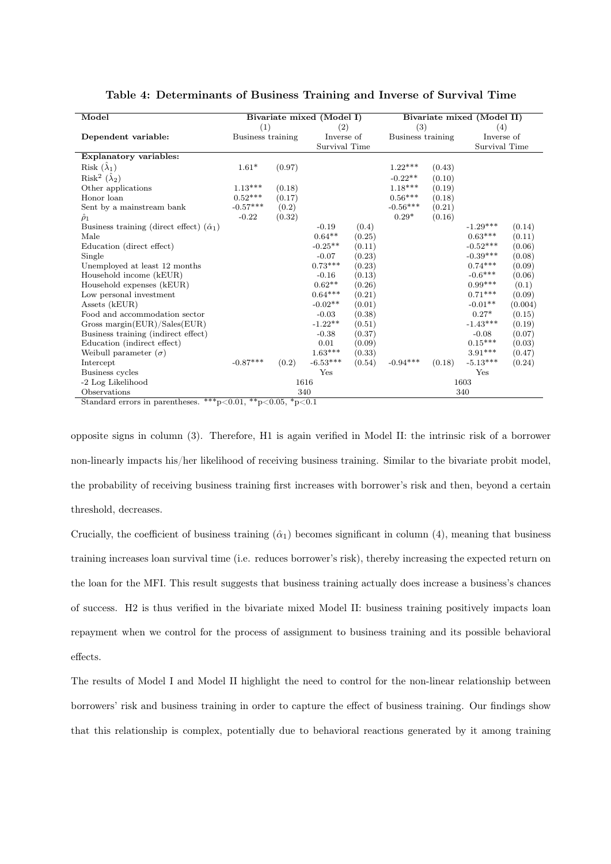<span id="page-22-0"></span>

| Model                                                |                                 |        | Bivariate mixed (Model I) |        | Bivariate mixed (Model II) |               |            |         |  |
|------------------------------------------------------|---------------------------------|--------|---------------------------|--------|----------------------------|---------------|------------|---------|--|
|                                                      | (1)                             |        | (2)                       |        | (3)                        |               | (4)        |         |  |
| Dependent variable:                                  | Business training<br>Inverse of |        | Business training         |        | Inverse of                 |               |            |         |  |
|                                                      | Survival Time                   |        |                           |        |                            | Survival Time |            |         |  |
| <b>Explanatory variables:</b>                        |                                 |        |                           |        |                            |               |            |         |  |
| Risk $(\hat{\lambda}_1)$                             | $1.61*$                         | (0.97) |                           |        | $1.22***$                  | (0.43)        |            |         |  |
| Risk <sup>2</sup> $(\hat{\lambda}_2)$                |                                 |        |                           |        | $-0.22**$                  | (0.10)        |            |         |  |
| Other applications                                   | $1.13***$                       | (0.18) |                           |        | $1.18***$                  | (0.19)        |            |         |  |
| Honor loan                                           | $0.52***$                       | (0.17) |                           |        | $0.56***$                  | (0.18)        |            |         |  |
| Sent by a mainstream bank                            | $-0.57***$                      | (0.2)  |                           |        | $-0.56***$                 | (0.21)        |            |         |  |
| $\hat{\rho}_1$                                       | $-0.22$                         | (0.32) |                           |        | $0.29*$                    | (0.16)        |            |         |  |
| Business training (direct effect) $(\hat{\alpha}_1)$ |                                 |        | $-0.19$                   | (0.4)  |                            |               | $-1.29***$ | (0.14)  |  |
| Male                                                 |                                 |        | $0.64**$                  | (0.25) |                            |               | $0.63***$  | (0.11)  |  |
| Education (direct effect)                            |                                 |        | $-0.25**$                 | (0.11) |                            |               | $-0.52***$ | (0.06)  |  |
| Single                                               |                                 |        | $-0.07$                   | (0.23) |                            |               | $-0.39***$ | (0.08)  |  |
| Unemployed at least 12 months                        |                                 |        | $0.73***$                 | (0.23) |                            |               | $0.74***$  | (0.09)  |  |
| Household income (kEUR)                              |                                 |        | $-0.16$                   | (0.13) |                            |               | $-0.6***$  | (0.06)  |  |
| Household expenses (kEUR)                            |                                 |        | $0.62**$                  | (0.26) |                            |               | $0.99***$  | (0.1)   |  |
| Low personal investment                              |                                 |        | $0.64***$                 | (0.21) |                            |               | $0.71***$  | (0.09)  |  |
| Assets (kEUR)                                        |                                 |        | $-0.02**$                 | (0.01) |                            |               | $-0.01**$  | (0.004) |  |
| Food and accommodation sector                        |                                 |        | $-0.03$                   | (0.38) |                            |               | $0.27*$    | (0.15)  |  |
| Gross margin( $EUR$ )/Sales( $EUR$ )                 |                                 |        | $-1.22**$                 | (0.51) |                            |               | $-1.43***$ | (0.19)  |  |
| Business training (indirect effect)                  |                                 |        | $-0.38$                   | (0.37) |                            |               | $-0.08$    | (0.07)  |  |
| Education (indirect effect)                          |                                 |        | 0.01                      | (0.09) |                            |               | $0.15***$  | (0.03)  |  |
| Weibull parameter $(\sigma)$                         |                                 |        | $1.63***$                 | (0.33) |                            |               | $3.91***$  | (0.47)  |  |
| Intercept                                            | $-0.87***$                      | (0.2)  | $-6.53***$                | (0.54) | $-0.94***$                 | (0.18)        | $-5.13***$ | (0.24)  |  |
| Business cycles                                      |                                 |        | Yes                       |        |                            |               | Yes        |         |  |
| -2 Log Likelihood                                    |                                 | 1616   |                           |        |                            |               | 1603       |         |  |
| Observations<br>$^{74}$                              |                                 | 340    |                           |        |                            |               | 340        |         |  |

Table 4: Determinants of Business Training and Inverse of Survival Time

Standard errors in parentheses. \*\*\* $p<0.01$ , \*\* $p<0.05$ , \* $p<0.1$ 

opposite signs in column (3). Therefore, H1 is again verified in Model II: the intrinsic risk of a borrower non-linearly impacts his/her likelihood of receiving business training. Similar to the bivariate probit model, the probability of receiving business training first increases with borrower's risk and then, beyond a certain threshold, decreases.

Crucially, the coefficient of business training  $(\hat{\alpha}_1)$  becomes significant in column (4), meaning that business training increases loan survival time (i.e. reduces borrower's risk), thereby increasing the expected return on the loan for the MFI. This result suggests that business training actually does increase a business's chances of success. H2 is thus verified in the bivariate mixed Model II: business training positively impacts loan repayment when we control for the process of assignment to business training and its possible behavioral effects.

The results of Model I and Model II highlight the need to control for the non-linear relationship between borrowers' risk and business training in order to capture the effect of business training. Our findings show that this relationship is complex, potentially due to behavioral reactions generated by it among training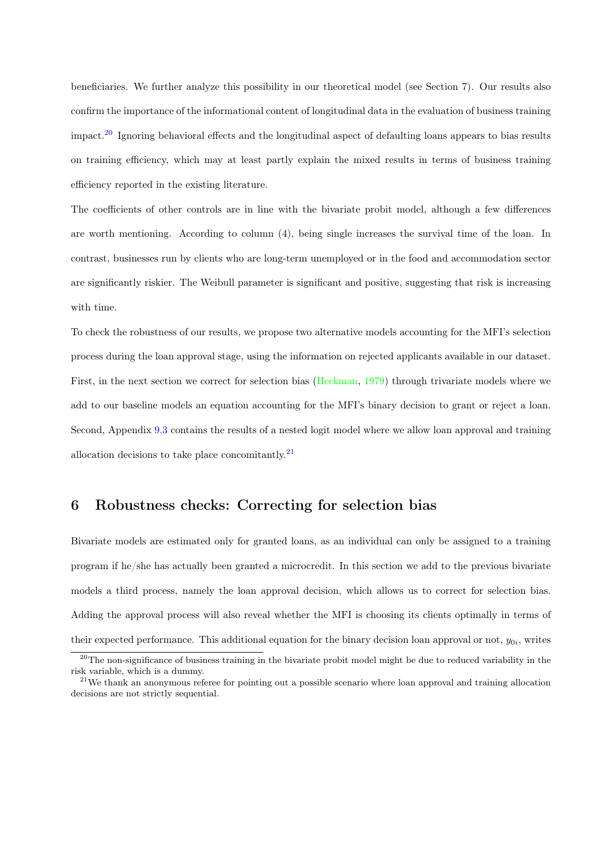<span id="page-23-2"></span>beneficiaries. We further analyze this possibility in our theoretical model (see Section 7). Our results also confirm the importance of the informational content of longitudinal data in the evaluation of business training impact.[20](#page-23-0) Ignoring behavioral effects and the longitudinal aspect of defaulting loans appears to bias results on training efficiency, which may at least partly explain the mixed results in terms of business training efficiency reported in the existing literature.

The coefficients of other controls are in line with the bivariate probit model, although a few differences are worth mentioning. According to column (4), being single increases the survival time of the loan. In contrast, businesses run by clients who are long-term unemployed or in the food and accommodation sector are significantly riskier. The Weibull parameter is significant and positive, suggesting that risk is increasing with time.

To check the robustness of our results, we propose two alternative models accounting for the MFI's selection process during the loan approval stage, using the information on rejected applicants available in our dataset. First, in the next section we correct for selection bias [\(Heckman,](#page-40-0) [1979\)](#page-40-0) through trivariate models where we add to our baseline models an equation accounting for the MFI's binary decision to grant or reject a loan. Second, Appendix [9.3](#page-37-0) contains the results of a nested logit model where we allow loan approval and training allocation decisions to take place concomitantly. $^{21}$  $^{21}$  $^{21}$ 

## 6 Robustness checks: Correcting for selection bias

Bivariate models are estimated only for granted loans, as an individual can only be assigned to a training program if he/she has actually been granted a microcredit. In this section we add to the previous bivariate models a third process, namely the loan approval decision, which allows us to correct for selection bias. Adding the approval process will also reveal whether the MFI is choosing its clients optimally in terms of their expected performance. This additional equation for the binary decision loan approval or not,  $y_{0i}$ , writes

<span id="page-23-0"></span><sup>&</sup>lt;sup>20</sup>The non-significance of business training in the bivariate probit model might be due to reduced variability in the risk variable, which is a dummy.

<span id="page-23-1"></span><sup>&</sup>lt;sup>21</sup>We thank an anonymous referee for pointing out a possible scenario where loan approval and training allocation decisions are not strictly sequential.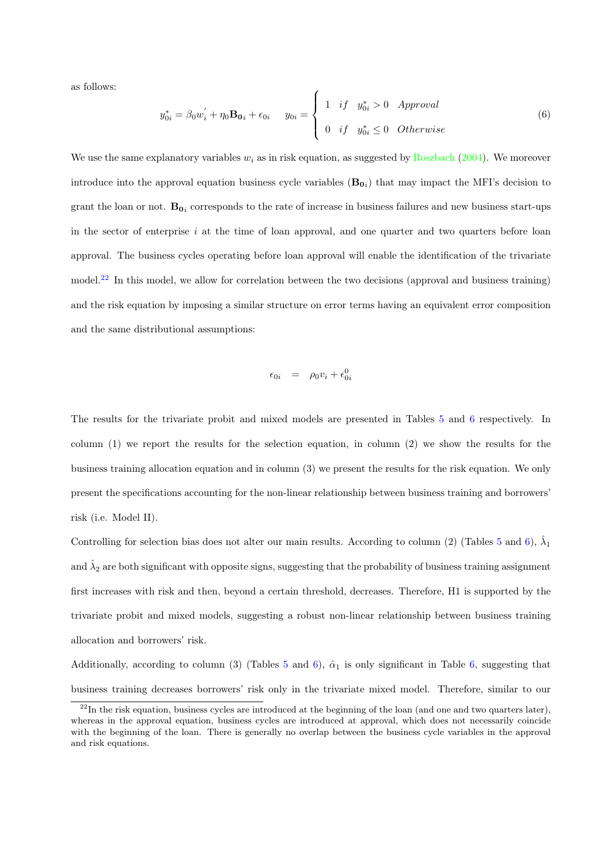<span id="page-24-2"></span>as follows:

<span id="page-24-1"></span>
$$
y_{0i}^* = \beta_0 w_i^{'} + \eta_0 \mathbf{B_0}_i + \epsilon_{0i} \qquad y_{0i} = \begin{cases} 1 & \text{if} \quad y_{0i}^* > 0 \quad \text{Approval} \\ 0 & \text{if} \quad y_{0i}^* \le 0 \quad \text{Otherwise} \end{cases} \tag{6}
$$

We use the same explanatory variables  $w_i$  as in risk equation, as suggested by [Roszbach](#page-41-6) [\(2004\)](#page-41-6). We moreover introduce into the approval equation business cycle variables  $(B_{0i})$  that may impact the MFI's decision to grant the loan or not.  $B_{0i}$  corresponds to the rate of increase in business failures and new business start-ups in the sector of enterprise  $i$  at the time of loan approval, and one quarter and two quarters before loan approval. The business cycles operating before loan approval will enable the identification of the trivariate model.[22](#page-24-0) In this model, we allow for correlation between the two decisions (approval and business training) and the risk equation by imposing a similar structure on error terms having an equivalent error composition and the same distributional assumptions:

$$
\epsilon_{0i} = \rho_0 v_i + \epsilon_{0i}^0
$$

The results for the trivariate probit and mixed models are presented in Tables [5](#page-25-0) and [6](#page-25-1) respectively. In column (1) we report the results for the selection equation, in column (2) we show the results for the business training allocation equation and in column (3) we present the results for the risk equation. We only present the specifications accounting for the non-linear relationship between business training and borrowers' risk (i.e. Model II).

Controlling for selection bias does not alter our main results. According to column (2) (Tables [5](#page-25-0) and [6\)](#page-25-1),  $\hat{\lambda}_1$ and  $\hat{\lambda}_2$  are both significant with opposite signs, suggesting that the probability of business training assignment first increases with risk and then, beyond a certain threshold, decreases. Therefore, H1 is supported by the trivariate probit and mixed models, suggesting a robust non-linear relationship between business training allocation and borrowers' risk.

Additionally, according to column (3) (Tables [5](#page-25-0) and [6\)](#page-25-1),  $\hat{\alpha}_1$  is only significant in Table [6,](#page-25-1) suggesting that business training decreases borrowers' risk only in the trivariate mixed model. Therefore, similar to our

<span id="page-24-0"></span> $^{22}$ In the risk equation, business cycles are introduced at the beginning of the loan (and one and two quarters later), whereas in the approval equation, business cycles are introduced at approval, which does not necessarily coincide with the beginning of the loan. There is generally no overlap between the business cycle variables in the approval and risk equations.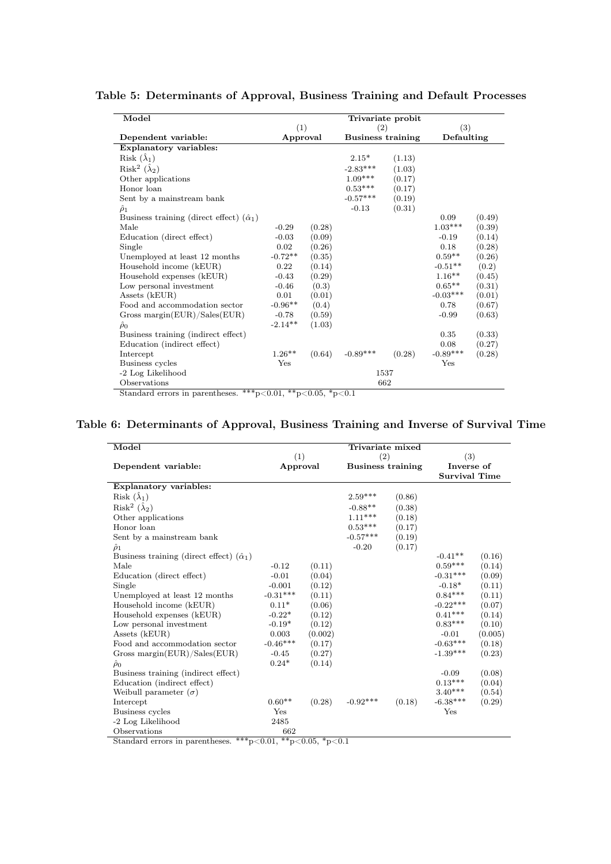| Model                                                | Trivariate probit |                                      |            |            |            |        |  |
|------------------------------------------------------|-------------------|--------------------------------------|------------|------------|------------|--------|--|
|                                                      |                   | (1)<br>(2)                           |            |            | (3)        |        |  |
| Dependent variable:                                  |                   | <b>Business training</b><br>Approval |            | Defaulting |            |        |  |
| <b>Explanatory variables:</b>                        |                   |                                      |            |            |            |        |  |
| Risk $(\lambda_1)$                                   |                   |                                      | $2.15*$    | (1.13)     |            |        |  |
| Risk <sup>2</sup> $(\hat{\lambda}_2)$                |                   |                                      | $-2.83***$ | (1.03)     |            |        |  |
| Other applications                                   |                   |                                      | $1.09***$  | (0.17)     |            |        |  |
| Honor loan                                           |                   |                                      | $0.53***$  | (0.17)     |            |        |  |
| Sent by a mainstream bank                            |                   |                                      | $-0.57***$ | (0.19)     |            |        |  |
| $\tilde{\rho}_1$                                     |                   |                                      | $-0.13$    | (0.31)     |            |        |  |
| Business training (direct effect) $(\hat{\alpha}_1)$ |                   |                                      |            |            | 0.09       | (0.49) |  |
| Male                                                 | $-0.29$           | (0.28)                               |            |            | $1.03***$  | (0.39) |  |
| Education (direct effect)                            | $-0.03$           | (0.09)                               |            |            | $-0.19$    | (0.14) |  |
| Single                                               | 0.02              | (0.26)                               |            |            | 0.18       | (0.28) |  |
| Unemployed at least 12 months                        | $-0.72**$         | (0.35)                               |            |            | $0.59**$   | (0.26) |  |
| Household income (kEUR)                              | 0.22              | (0.14)                               |            |            | $-0.51**$  | (0.2)  |  |
| Household expenses (kEUR)                            | $-0.43$           | (0.29)                               |            |            | $1.16**$   | (0.45) |  |
| Low personal investment                              | $-0.46$           | (0.3)                                |            |            | $0.65**$   | (0.31) |  |
| Assets (kEUR)                                        | 0.01              | (0.01)                               |            |            | $-0.03***$ | (0.01) |  |
| Food and accommodation sector                        | $-0.96**$         | (0.4)                                |            |            | 0.78       | (0.67) |  |
| Gross margin( $EUR$ )/Sales( $EUR$ )                 | $-0.78$           | (0.59)                               |            |            | $-0.99$    | (0.63) |  |
| $\hat{\rho}_0$                                       | $-2.14**$         | (1.03)                               |            |            |            |        |  |
| Business training (indirect effect)                  |                   |                                      |            |            | 0.35       | (0.33) |  |
| Education (indirect effect)                          |                   |                                      |            |            | 0.08       | (0.27) |  |
| Intercept                                            | $1.26**$          | (0.64)                               | $-0.89***$ | (0.28)     | $-0.89***$ | (0.28) |  |
| Business cycles                                      | Yes               |                                      |            |            | Yes        |        |  |
| -2 Log Likelihood                                    |                   |                                      |            | 1537       |            |        |  |
| Observations<br>مله مله مله                          | $\overline{a}$    |                                      |            | 662        |            |        |  |

<span id="page-25-0"></span>Table 5: Determinants of Approval, Business Training and Default Processes

Standard errors in parentheses. \*\*\*p<0.01, \*\*p<0.05, \*p<0.1

### <span id="page-25-1"></span>Table 6: Determinants of Approval, Business Training and Inverse of Survival Time

| Model                                                |                 |         | Trivariate mixed                |        |                                           |         |
|------------------------------------------------------|-----------------|---------|---------------------------------|--------|-------------------------------------------|---------|
| Dependent variable:                                  | (1)<br>Approval |         | (2)<br><b>Business training</b> |        | (3)<br>Inverse of<br><b>Survival Time</b> |         |
| Explanatory variables:                               |                 |         |                                 |        |                                           |         |
| Risk $(\lambda_1)$                                   |                 |         | $2.59***$                       | (0.86) |                                           |         |
| Risk <sup>2</sup> $(\hat{\lambda}_2)$                |                 |         | $-0.88**$                       | (0.38) |                                           |         |
| Other applications                                   |                 |         | $1.11***$                       | (0.18) |                                           |         |
| Honor loan                                           |                 |         | $0.53***$                       | (0.17) |                                           |         |
| Sent by a mainstream bank                            |                 |         | $-0.57***$                      | (0.19) |                                           |         |
| $\hat{\rho}_1$                                       |                 |         | $-0.20$                         | (0.17) |                                           |         |
| Business training (direct effect) $(\hat{\alpha}_1)$ |                 |         |                                 |        | $-0.41**$                                 | (0.16)  |
| Male                                                 | $-0.12$         | (0.11)  |                                 |        | $0.59***$                                 | (0.14)  |
| Education (direct effect)                            | $-0.01$         | (0.04)  |                                 |        | $-0.31***$                                | (0.09)  |
| Single                                               | $-0.001$        | (0.12)  |                                 |        | $-0.18*$                                  | (0.11)  |
| Unemployed at least 12 months                        | $-0.31***$      | (0.11)  |                                 |        | $0.84***$                                 | (0.11)  |
| Household income (kEUR)                              | $0.11*$         | (0.06)  |                                 |        | $-0.22***$                                | (0.07)  |
| Household expenses (kEUR)                            | $-0.22*$        | (0.12)  |                                 |        | $0.41***$                                 | (0.14)  |
| Low personal investment                              | $-0.19*$        | (0.12)  |                                 |        | $0.83***$                                 | (0.10)  |
| Assets (kEUR)                                        | 0.003           | (0.002) |                                 |        | $-0.01$                                   | (0.005) |
| Food and accommodation sector                        | $-0.46***$      | (0.17)  |                                 |        | $-0.63***$                                | (0.18)  |
| Gross margin( $EUR$ )/Sales( $EUR$ )                 | $-0.45$         | (0.27)  |                                 |        | $-1.39***$                                | (0.23)  |
| $\hat{\rho}_0$                                       | $0.24*$         | (0.14)  |                                 |        |                                           |         |
| Business training (indirect effect)                  |                 |         |                                 |        | $-0.09$                                   | (0.08)  |
| Education (indirect effect)                          |                 |         |                                 |        | $0.13***$                                 | (0.04)  |
| Weibull parameter $(\sigma)$                         |                 |         |                                 |        | $3.40***$                                 | (0.54)  |
| Intercept                                            | $0.60**$        | (0.28)  | $-0.92***$                      | (0.18) | $-6.38***$                                | (0.29)  |
| Business cycles                                      | Yes             |         |                                 |        | Yes                                       |         |
| -2 Log Likelihood                                    | 2485            |         |                                 |        |                                           |         |
| Observations                                         | 662             |         |                                 |        |                                           |         |

Standard errors in parentheses. \*\*\*p<0.01, \*\*p<0.05, \*p<0.1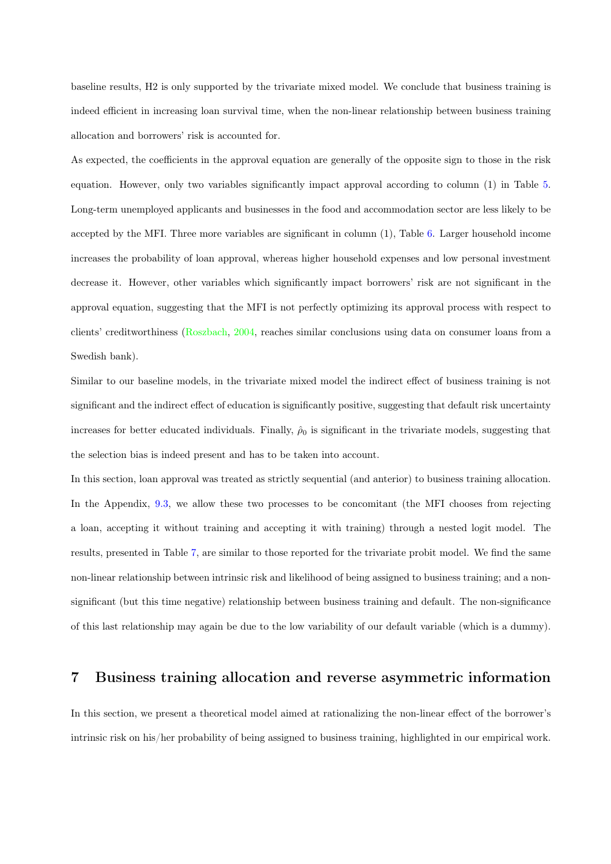<span id="page-26-0"></span>baseline results, H2 is only supported by the trivariate mixed model. We conclude that business training is indeed efficient in increasing loan survival time, when the non-linear relationship between business training allocation and borrowers' risk is accounted for.

As expected, the coefficients in the approval equation are generally of the opposite sign to those in the risk equation. However, only two variables significantly impact approval according to column (1) in Table [5.](#page-25-0) Long-term unemployed applicants and businesses in the food and accommodation sector are less likely to be accepted by the MFI. Three more variables are significant in column (1), Table [6.](#page-25-1) Larger household income increases the probability of loan approval, whereas higher household expenses and low personal investment decrease it. However, other variables which significantly impact borrowers' risk are not significant in the approval equation, suggesting that the MFI is not perfectly optimizing its approval process with respect to clients' creditworthiness [\(Roszbach,](#page-41-6) [2004,](#page-41-6) reaches similar conclusions using data on consumer loans from a Swedish bank).

Similar to our baseline models, in the trivariate mixed model the indirect effect of business training is not significant and the indirect effect of education is significantly positive, suggesting that default risk uncertainty increases for better educated individuals. Finally,  $\hat{\rho}_0$  is significant in the trivariate models, suggesting that the selection bias is indeed present and has to be taken into account.

In this section, loan approval was treated as strictly sequential (and anterior) to business training allocation. In the Appendix, [9.3,](#page-37-0) we allow these two processes to be concomitant (the MFI chooses from rejecting a loan, accepting it without training and accepting it with training) through a nested logit model. The results, presented in Table [7,](#page-38-0) are similar to those reported for the trivariate probit model. We find the same non-linear relationship between intrinsic risk and likelihood of being assigned to business training; and a nonsignificant (but this time negative) relationship between business training and default. The non-significance of this last relationship may again be due to the low variability of our default variable (which is a dummy).

## 7 Business training allocation and reverse asymmetric information

In this section, we present a theoretical model aimed at rationalizing the non-linear effect of the borrower's intrinsic risk on his/her probability of being assigned to business training, highlighted in our empirical work.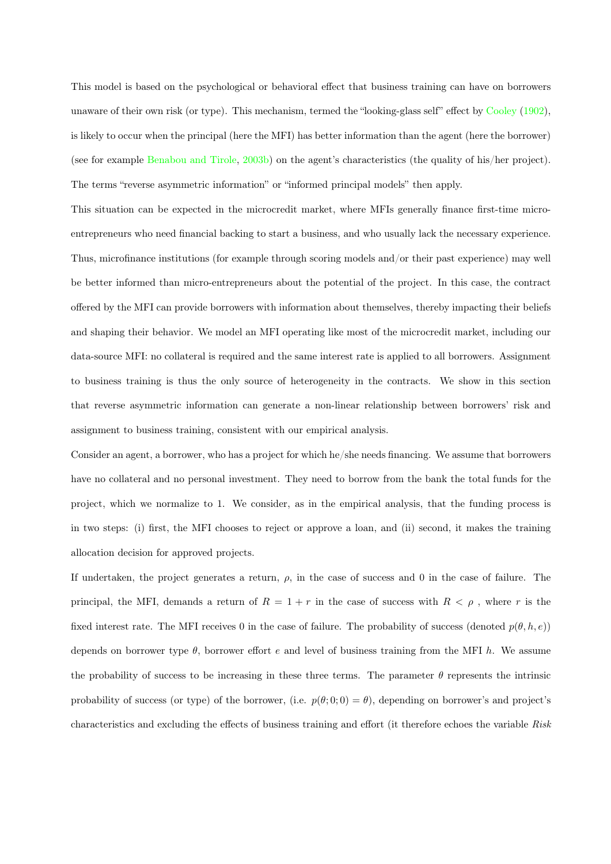<span id="page-27-0"></span>This model is based on the psychological or behavioral effect that business training can have on borrowers unaware of their own risk (or type). This mechanism, termed the "looking-glass self" effect by [Cooley](#page-40-1) [\(1902\)](#page-40-1), is likely to occur when the principal (here the MFI) has better information than the agent (here the borrower) (see for example [Benabou and Tirole,](#page-39-7) [2003b\)](#page-39-7) on the agent's characteristics (the quality of his/her project). The terms "reverse asymmetric information" or "informed principal models" then apply.

This situation can be expected in the microcredit market, where MFIs generally finance first-time microentrepreneurs who need financial backing to start a business, and who usually lack the necessary experience. Thus, microfinance institutions (for example through scoring models and/or their past experience) may well be better informed than micro-entrepreneurs about the potential of the project. In this case, the contract offered by the MFI can provide borrowers with information about themselves, thereby impacting their beliefs and shaping their behavior. We model an MFI operating like most of the microcredit market, including our data-source MFI: no collateral is required and the same interest rate is applied to all borrowers. Assignment to business training is thus the only source of heterogeneity in the contracts. We show in this section that reverse asymmetric information can generate a non-linear relationship between borrowers' risk and assignment to business training, consistent with our empirical analysis.

Consider an agent, a borrower, who has a project for which he/she needs financing. We assume that borrowers have no collateral and no personal investment. They need to borrow from the bank the total funds for the project, which we normalize to 1. We consider, as in the empirical analysis, that the funding process is in two steps: (i) first, the MFI chooses to reject or approve a loan, and (ii) second, it makes the training allocation decision for approved projects.

If undertaken, the project generates a return,  $\rho$ , in the case of success and 0 in the case of failure. The principal, the MFI, demands a return of  $R = 1 + r$  in the case of success with  $R < \rho$ , where r is the fixed interest rate. The MFI receives 0 in the case of failure. The probability of success (denoted  $p(\theta, h, e)$ ) depends on borrower type  $\theta$ , borrower effort e and level of business training from the MFI h. We assume the probability of success to be increasing in these three terms. The parameter  $\theta$  represents the intrinsic probability of success (or type) of the borrower, (i.e.  $p(\theta; 0; 0) = \theta$ ), depending on borrower's and project's characteristics and excluding the effects of business training and effort (it therefore echoes the variable Risk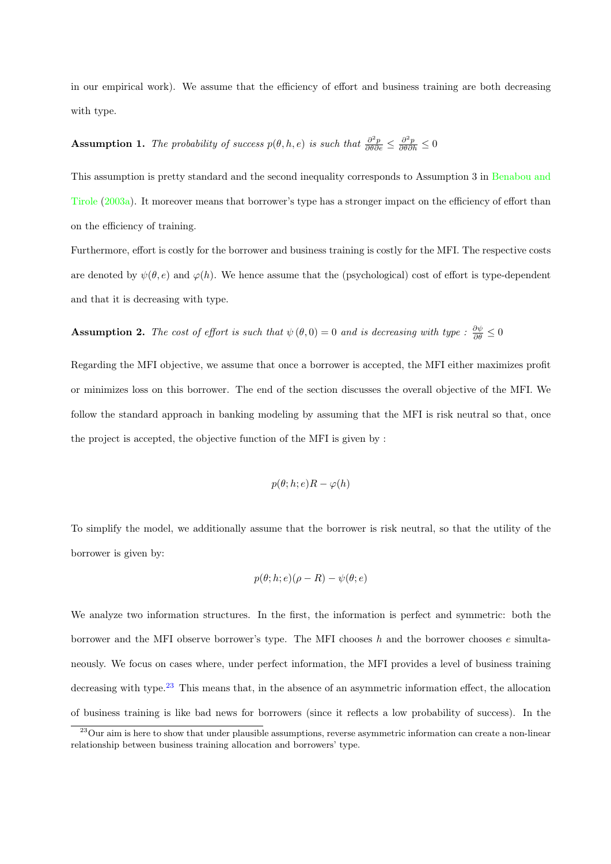<span id="page-28-1"></span>in our empirical work). We assume that the efficiency of effort and business training are both decreasing with type.

# Assumption 1. The probability of success  $p(\theta, h, e)$  is such that  $\frac{\partial^2 p}{\partial \theta \partial e} \leq \frac{\partial^2 p}{\partial \theta \partial h} \leq 0$

This assumption is pretty standard and the second inequality corresponds to Assumption 3 in [Benabou and](#page-39-4) [Tirole](#page-39-4) [\(2003a\)](#page-39-4). It moreover means that borrower's type has a stronger impact on the efficiency of effort than on the efficiency of training.

Furthermore, effort is costly for the borrower and business training is costly for the MFI. The respective costs are denoted by  $\psi(\theta, e)$  and  $\varphi(h)$ . We hence assume that the (psychological) cost of effort is type-dependent and that it is decreasing with type.

**Assumption 2.** The cost of effort is such that  $\psi(\theta,0) = 0$  and is decreasing with type :  $\frac{\partial \psi}{\partial \theta} \leq 0$ 

Regarding the MFI objective, we assume that once a borrower is accepted, the MFI either maximizes profit or minimizes loss on this borrower. The end of the section discusses the overall objective of the MFI. We follow the standard approach in banking modeling by assuming that the MFI is risk neutral so that, once the project is accepted, the objective function of the MFI is given by :

$$
p(\theta; h; e)R - \varphi(h)
$$

To simplify the model, we additionally assume that the borrower is risk neutral, so that the utility of the borrower is given by:

$$
p(\theta; h; e)(\rho - R) - \psi(\theta; e)
$$

We analyze two information structures. In the first, the information is perfect and symmetric: both the borrower and the MFI observe borrower's type. The MFI chooses  $h$  and the borrower chooses  $e$  simultaneously. We focus on cases where, under perfect information, the MFI provides a level of business training decreasing with type. $^{23}$  $^{23}$  $^{23}$  This means that, in the absence of an asymmetric information effect, the allocation of business training is like bad news for borrowers (since it reflects a low probability of success). In the

<span id="page-28-0"></span><sup>&</sup>lt;sup>23</sup>Our aim is here to show that under plausible assumptions, reverse asymmetric information can create a non-linear relationship between business training allocation and borrowers' type.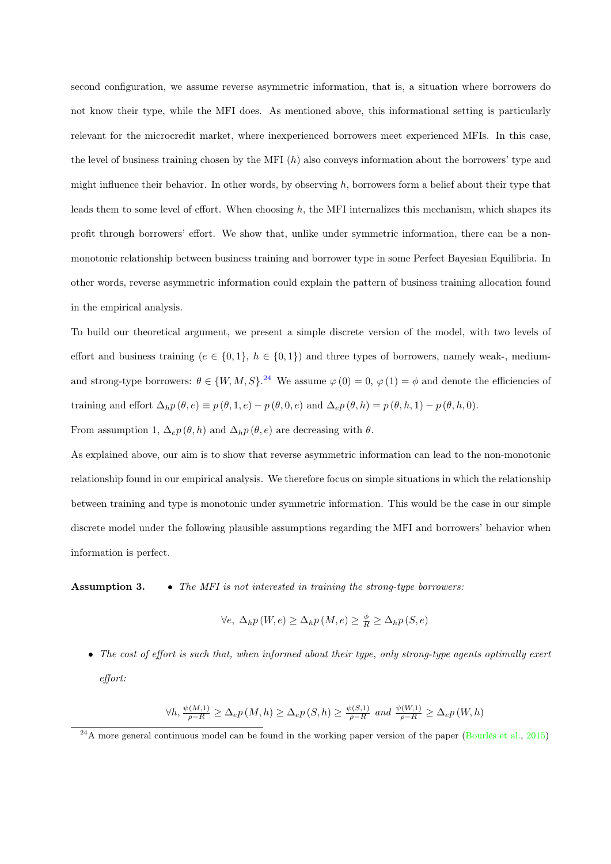<span id="page-29-1"></span>second configuration, we assume reverse asymmetric information, that is, a situation where borrowers do not know their type, while the MFI does. As mentioned above, this informational setting is particularly relevant for the microcredit market, where inexperienced borrowers meet experienced MFIs. In this case, the level of business training chosen by the MFI  $(h)$  also conveys information about the borrowers' type and might influence their behavior. In other words, by observing  $h$ , borrowers form a belief about their type that leads them to some level of effort. When choosing  $h$ , the MFI internalizes this mechanism, which shapes its profit through borrowers' effort. We show that, unlike under symmetric information, there can be a nonmonotonic relationship between business training and borrower type in some Perfect Bayesian Equilibria. In other words, reverse asymmetric information could explain the pattern of business training allocation found in the empirical analysis.

To build our theoretical argument, we present a simple discrete version of the model, with two levels of effort and business training ( $e \in \{0,1\}$ ,  $h \in \{0,1\}$ ) and three types of borrowers, namely weak-, mediumand strong-type borrowers:  $\theta \in \{W, M, S\}$ .<sup>[24](#page-29-0)</sup> We assume  $\varphi(0) = 0$ ,  $\varphi(1) = \phi$  and denote the efficiencies of training and effort  $\Delta_h p(\theta, e) \equiv p(\theta, 1, e) - p(\theta, 0, e)$  and  $\Delta_e p(\theta, h) = p(\theta, h, 1) - p(\theta, h, 0)$ . From assumption 1,  $\Delta_e p(\theta, h)$  and  $\Delta_h p(\theta, e)$  are decreasing with  $\theta$ .

As explained above, our aim is to show that reverse asymmetric information can lead to the non-monotonic relationship found in our empirical analysis. We therefore focus on simple situations in which the relationship between training and type is monotonic under symmetric information. This would be the case in our simple discrete model under the following plausible assumptions regarding the MFI and borrowers' behavior when information is perfect.

Assumption 3. • The MFI is not interested in training the strong-type borrowers:

$$
\forall e, \ \Delta_h p\left(W, e\right) \ge \Delta_h p\left(M, e\right) \ge \frac{\phi}{R} \ge \Delta_h p\left(S, e\right)
$$

• The cost of effort is such that, when informed about their type, only strong-type agents optimally exert effort:

$$
\forall h, \frac{\psi(M,1)}{\rho-R} \ge \Delta_e p\left(M, h\right) \ge \Delta_e p\left(S, h\right) \ge \frac{\psi(S,1)}{\rho-R} \text{ and } \frac{\psi(W,1)}{\rho-R} \ge \Delta_e p\left(W, h\right)
$$

<span id="page-29-0"></span> $^{24}$ A more general continuous model can be found in the working paper version of the paper [\(Bourlès et al.,](#page-39-9) [2015\)](#page-39-9)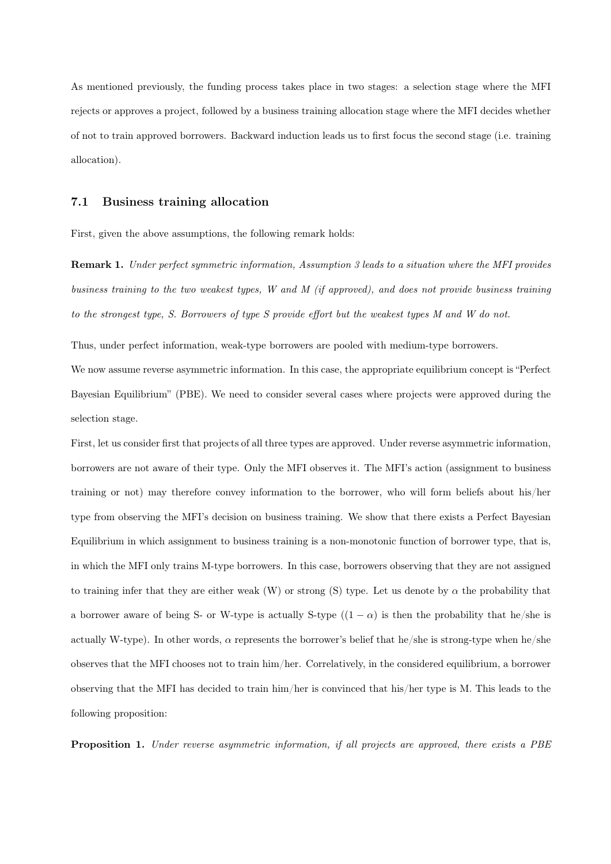As mentioned previously, the funding process takes place in two stages: a selection stage where the MFI rejects or approves a project, followed by a business training allocation stage where the MFI decides whether of not to train approved borrowers. Backward induction leads us to first focus the second stage (i.e. training allocation).

#### 7.1 Business training allocation

First, given the above assumptions, the following remark holds:

Remark 1. Under perfect symmetric information, Assumption 3 leads to a situation where the MFI provides business training to the two weakest types, W and M (if approved), and does not provide business training to the strongest type, S. Borrowers of type S provide effort but the weakest types M and W do not.

Thus, under perfect information, weak-type borrowers are pooled with medium-type borrowers.

We now assume reverse asymmetric information. In this case, the appropriate equilibrium concept is "Perfect Bayesian Equilibrium" (PBE). We need to consider several cases where projects were approved during the selection stage.

First, let us consider first that projects of all three types are approved. Under reverse asymmetric information, borrowers are not aware of their type. Only the MFI observes it. The MFI's action (assignment to business training or not) may therefore convey information to the borrower, who will form beliefs about his/her type from observing the MFI's decision on business training. We show that there exists a Perfect Bayesian Equilibrium in which assignment to business training is a non-monotonic function of borrower type, that is, in which the MFI only trains M-type borrowers. In this case, borrowers observing that they are not assigned to training infer that they are either weak (W) or strong (S) type. Let us denote by  $\alpha$  the probability that a borrower aware of being S- or W-type is actually S-type  $((1 - \alpha)$  is then the probability that he/she is actually W-type). In other words,  $\alpha$  represents the borrower's belief that he/she is strong-type when he/she observes that the MFI chooses not to train him/her. Correlatively, in the considered equilibrium, a borrower observing that the MFI has decided to train him/her is convinced that his/her type is M. This leads to the following proposition:

Proposition 1. Under reverse asymmetric information, if all projects are approved, there exists a PBE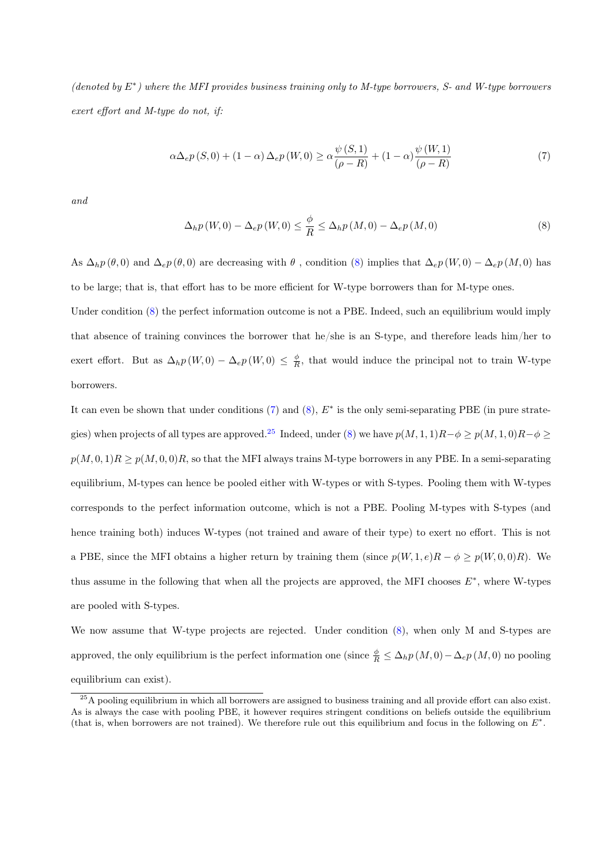(denoted by E<sup>∗</sup> ) where the MFI provides business training only to M-type borrowers, S- and W-type borrowers exert effort and M-type do not, if:

<span id="page-31-1"></span>
$$
\alpha \Delta_{e} p(S,0) + (1 - \alpha) \Delta_{e} p(W,0) \ge \alpha \frac{\psi(S,1)}{(\rho - R)} + (1 - \alpha) \frac{\psi(W,1)}{(\rho - R)}
$$
\n
$$
(7)
$$

and

<span id="page-31-0"></span>
$$
\Delta_{h} p\left(W,0\right) - \Delta_{e} p\left(W,0\right) \le \frac{\phi}{R} \le \Delta_{h} p\left(M,0\right) - \Delta_{e} p\left(M,0\right) \tag{8}
$$

As  $\Delta_h p(\theta,0)$  and  $\Delta_e p(\theta,0)$  are decreasing with  $\theta$ , condition [\(8\)](#page-31-0) implies that  $\Delta_e p(W,0) - \Delta_e p(M,0)$  has to be large; that is, that effort has to be more efficient for W-type borrowers than for M-type ones.

Under condition [\(8\)](#page-31-0) the perfect information outcome is not a PBE. Indeed, such an equilibrium would imply that absence of training convinces the borrower that he/she is an S-type, and therefore leads him/her to exert effort. But as  $\Delta_h p(W,0) - \Delta_e p(W,0) \leq \frac{\phi}{R}$ , that would induce the principal not to train W-type borrowers.

It can even be shown that under conditions  $(7)$  and  $(8)$ ,  $E^*$  is the only semi-separating PBE (in pure strate-gies) when projects of all types are approved.<sup>[25](#page-31-2)</sup> Indeed, under [\(8\)](#page-31-0) we have  $p(M, 1, 1)R-\phi \geq p(M, 1, 0)R-\phi \geq$  $p(M, 0, 1)R \geq p(M, 0, 0)R$ , so that the MFI always trains M-type borrowers in any PBE. In a semi-separating equilibrium, M-types can hence be pooled either with W-types or with S-types. Pooling them with W-types corresponds to the perfect information outcome, which is not a PBE. Pooling M-types with S-types (and hence training both) induces W-types (not trained and aware of their type) to exert no effort. This is not a PBE, since the MFI obtains a higher return by training them (since  $p(W, 1, e)R - \phi \geq p(W, 0, 0)R$ ). We thus assume in the following that when all the projects are approved, the MFI chooses  $E^*$ , where W-types are pooled with S-types.

We now assume that W-type projects are rejected. Under condition  $(8)$ , when only M and S-types are approved, the only equilibrium is the perfect information one (since  $\frac{\phi}{R} \leq \Delta_h p(M, 0) - \Delta_e p(M, 0)$  no pooling equilibrium can exist).

<span id="page-31-2"></span> $^{25}$ A pooling equilibrium in which all borrowers are assigned to business training and all provide effort can also exist. As is always the case with pooling PBE, it however requires stringent conditions on beliefs outside the equilibrium (that is, when borrowers are not trained). We therefore rule out this equilibrium and focus in the following on  $E^*$ .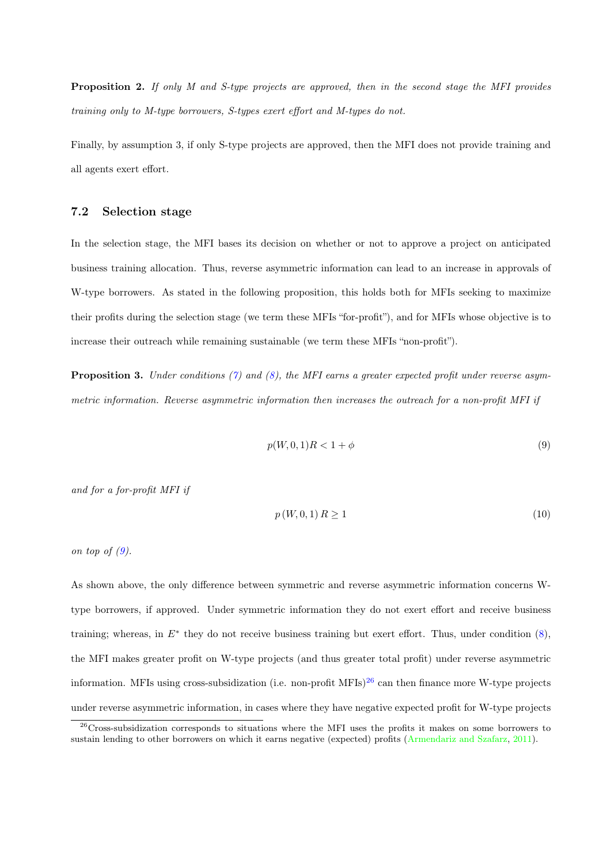<span id="page-32-3"></span>Proposition 2. If only M and S-type projects are approved, then in the second stage the MFI provides training only to M-type borrowers, S-types exert effort and M-types do not.

Finally, by assumption 3, if only S-type projects are approved, then the MFI does not provide training and all agents exert effort.

#### 7.2 Selection stage

In the selection stage, the MFI bases its decision on whether or not to approve a project on anticipated business training allocation. Thus, reverse asymmetric information can lead to an increase in approvals of W-type borrowers. As stated in the following proposition, this holds both for MFIs seeking to maximize their profits during the selection stage (we term these MFIs "for-profit"), and for MFIs whose objective is to increase their outreach while remaining sustainable (we term these MFIs "non-profit").

**Proposition 3.** Under conditions [\(7\)](#page-31-1) and [\(8\)](#page-31-0), the MFI earns a greater expected profit under reverse asymmetric information. Reverse asymmetric information then increases the outreach for a non-profit MFI if

<span id="page-32-0"></span>
$$
p(W,0,1)R < 1 + \phi \tag{9}
$$

and for a for-profit MFI if

<span id="page-32-2"></span>
$$
p\left(W,0,1\right)R\geq1\tag{10}
$$

on top of  $(9)$ .

As shown above, the only difference between symmetric and reverse asymmetric information concerns Wtype borrowers, if approved. Under symmetric information they do not exert effort and receive business training; whereas, in  $E^*$  they do not receive business training but exert effort. Thus, under condition  $(8)$ , the MFI makes greater profit on W-type projects (and thus greater total profit) under reverse asymmetric information. MFIs using cross-subsidization (i.e. non-profit MFIs) $^{26}$  $^{26}$  $^{26}$  can then finance more W-type projects under reverse asymmetric information, in cases where they have negative expected profit for W-type projects

<span id="page-32-1"></span><sup>&</sup>lt;sup>26</sup>Cross-subsidization corresponds to situations where the MFI uses the profits it makes on some borrowers to sustain lending to other borrowers on which it earns negative (expected) profits [\(Armendariz and Szafarz,](#page-39-10) [2011\)](#page-39-10).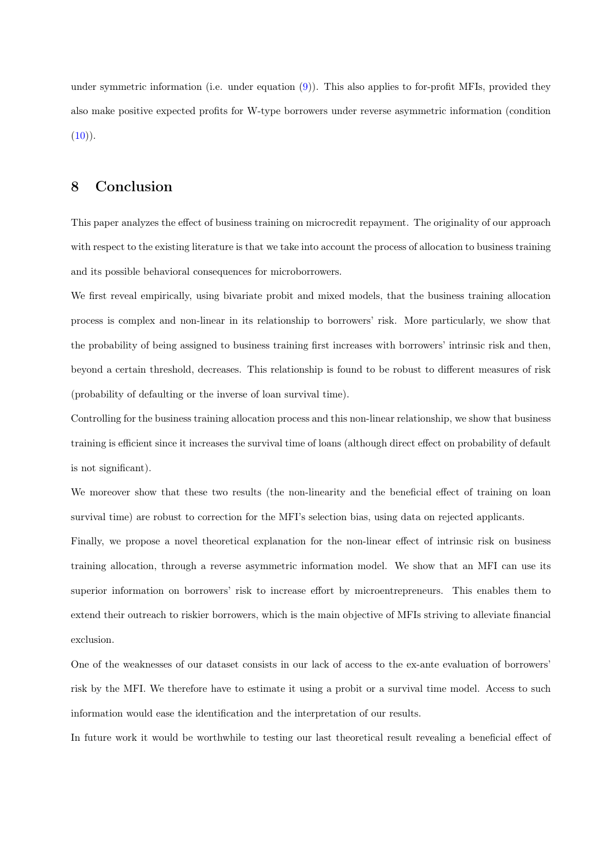under symmetric information (i.e. under equation [\(9\)](#page-32-0)). This also applies to for-profit MFIs, provided they also make positive expected profits for W-type borrowers under reverse asymmetric information (condition  $(10)$ .

## 8 Conclusion

This paper analyzes the effect of business training on microcredit repayment. The originality of our approach with respect to the existing literature is that we take into account the process of allocation to business training and its possible behavioral consequences for microborrowers.

We first reveal empirically, using bivariate probit and mixed models, that the business training allocation process is complex and non-linear in its relationship to borrowers' risk. More particularly, we show that the probability of being assigned to business training first increases with borrowers' intrinsic risk and then, beyond a certain threshold, decreases. This relationship is found to be robust to different measures of risk (probability of defaulting or the inverse of loan survival time).

Controlling for the business training allocation process and this non-linear relationship, we show that business training is efficient since it increases the survival time of loans (although direct effect on probability of default is not significant).

We moreover show that these two results (the non-linearity and the beneficial effect of training on loan survival time) are robust to correction for the MFI's selection bias, using data on rejected applicants.

Finally, we propose a novel theoretical explanation for the non-linear effect of intrinsic risk on business training allocation, through a reverse asymmetric information model. We show that an MFI can use its superior information on borrowers' risk to increase effort by microentrepreneurs. This enables them to extend their outreach to riskier borrowers, which is the main objective of MFIs striving to alleviate financial exclusion.

One of the weaknesses of our dataset consists in our lack of access to the ex-ante evaluation of borrowers' risk by the MFI. We therefore have to estimate it using a probit or a survival time model. Access to such information would ease the identification and the interpretation of our results.

In future work it would be worthwhile to testing our last theoretical result revealing a beneficial effect of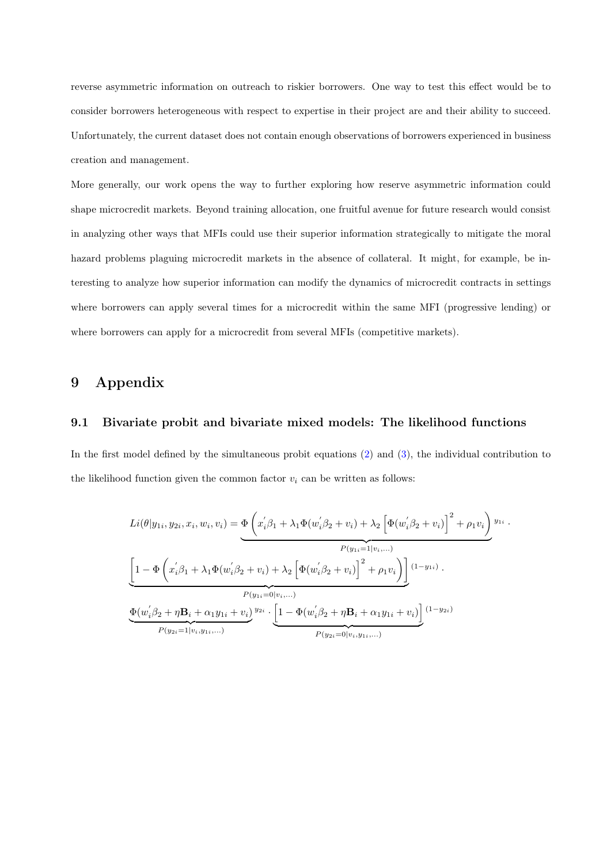reverse asymmetric information on outreach to riskier borrowers. One way to test this effect would be to consider borrowers heterogeneous with respect to expertise in their project are and their ability to succeed. Unfortunately, the current dataset does not contain enough observations of borrowers experienced in business creation and management.

More generally, our work opens the way to further exploring how reserve asymmetric information could shape microcredit markets. Beyond training allocation, one fruitful avenue for future research would consist in analyzing other ways that MFIs could use their superior information strategically to mitigate the moral hazard problems plaguing microcredit markets in the absence of collateral. It might, for example, be interesting to analyze how superior information can modify the dynamics of microcredit contracts in settings where borrowers can apply several times for a microcredit within the same MFI (progressive lending) or where borrowers can apply for a microcredit from several MFIs (competitive markets).

# 9 Appendix

#### <span id="page-34-0"></span>9.1 Bivariate probit and bivariate mixed models: The likelihood functions

In the first model defined by the simultaneous probit equations [\(2\)](#page-16-1) and [\(3\)](#page-16-2), the individual contribution to the likelihood function given the common factor  $v_i$  can be written as follows:

$$
Li(\theta|y_{1i}, y_{2i}, x_i, w_i, v_i) = \underbrace{\Phi\left(x_i'\beta_1 + \lambda_1 \Phi(w_i'\beta_2 + v_i) + \lambda_2 \left[\Phi(w_i'\beta_2 + v_i)\right]^2 + \rho_1 v_i\right)}_{P(y_{1i} = 1|v_i, \dots)}
$$
\n
$$
\underbrace{\left[1 - \Phi\left(x_i'\beta_1 + \lambda_1 \Phi(w_i'\beta_2 + v_i) + \lambda_2 \left[\Phi(w_i'\beta_2 + v_i)\right]^2 + \rho_1 v_i\right)\right]}_{P(y_{1i} = 0|v_i, \dots)}
$$
\n
$$
\underbrace{\Phi(w_i'\beta_2 + \eta \mathbf{B}_i + \alpha_1 y_{1i} + v_i)}_{P(y_{2i} = 1|v_i, y_{1i}, \dots)}
$$
\n
$$
F(y_{2i} = 0|v_i, y_{1i}, \dots)
$$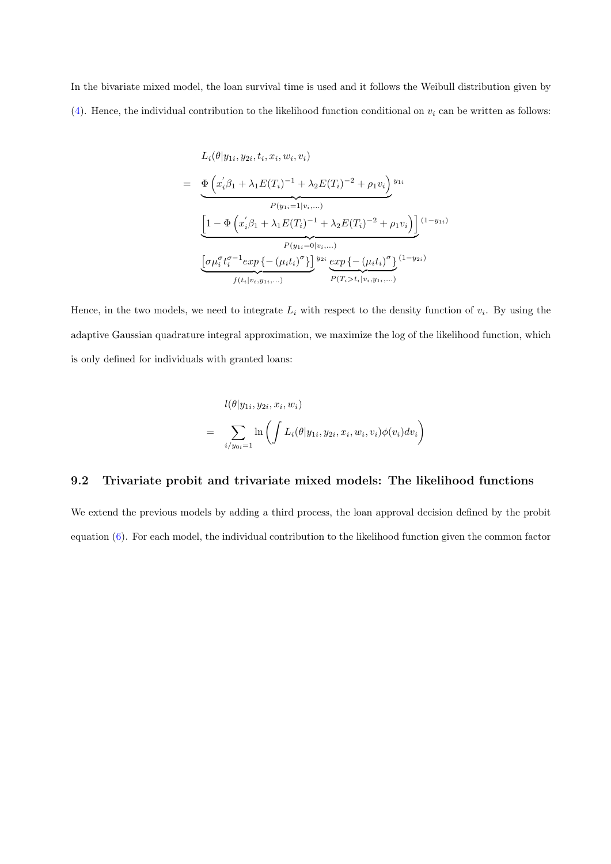In the bivariate mixed model, the loan survival time is used and it follows the Weibull distribution given by [\(4\)](#page-18-1). Hence, the individual contribution to the likelihood function conditional on  $v_i$  can be written as follows:

$$
L_i(\theta|y_{1i}, y_{2i}, t_i, x_i, w_i, v_i)
$$
\n
$$
= \underbrace{\Phi\left(x_i'\beta_1 + \lambda_1 E(T_i)^{-1} + \lambda_2 E(T_i)^{-2} + \rho_1 v_i\right)}_{P(y_{1i} = 1|v_i, \dots)}
$$
\n
$$
\underbrace{\left[1 - \Phi\left(x_i'\beta_1 + \lambda_1 E(T_i)^{-1} + \lambda_2 E(T_i)^{-2} + \rho_1 v_i\right)\right]}_{P(y_{1i} = 0|v_i, \dots)}
$$
\n
$$
\underbrace{\left[\sigma\mu_i^{\sigma} t_i^{\sigma-1} exp\left\{-\left(\mu_i t_i\right)^{\sigma}\right\}\right]^{y_{2i}} \underbrace{exp\left\{-\left(\mu_i t_i\right)^{\sigma}\right\}}_{f(t_i|v_i, y_{1i}, \dots)}^{(1-y_{2i})}
$$

Hence, in the two models, we need to integrate  $L_i$  with respect to the density function of  $v_i$ . By using the adaptive Gaussian quadrature integral approximation, we maximize the log of the likelihood function, which is only defined for individuals with granted loans:

$$
l(\theta | y_{1i}, y_{2i}, x_i, w_i)
$$
  
= 
$$
\sum_{i/y_{0i}=1} \ln \left( \int L_i(\theta | y_{1i}, y_{2i}, x_i, w_i, v_i) \phi(v_i) dv_i \right)
$$

#### <span id="page-35-0"></span>9.2 Trivariate probit and trivariate mixed models: The likelihood functions

We extend the previous models by adding a third process, the loan approval decision defined by the probit equation [\(6\)](#page-24-1). For each model, the individual contribution to the likelihood function given the common factor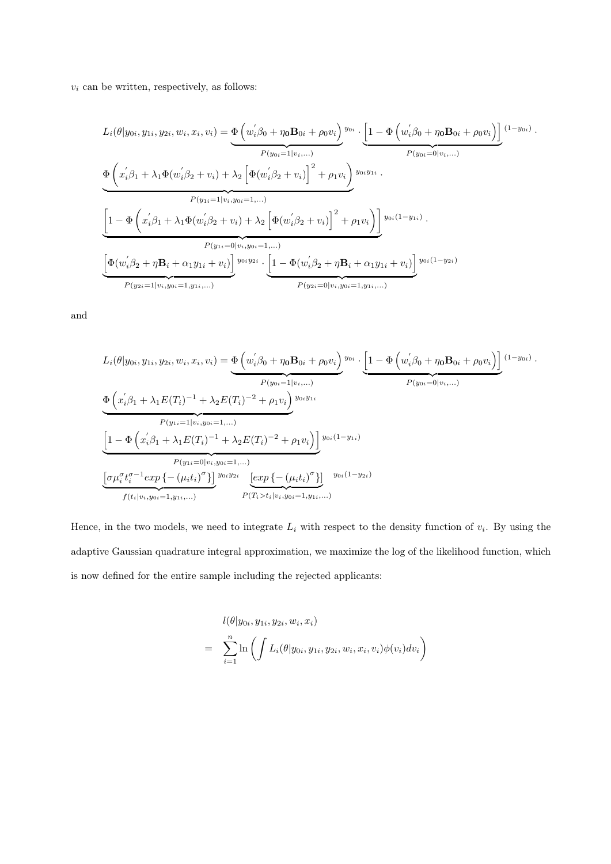$v_i$  can be written, respectively, as follows:

$$
L_{i}(\theta|y_{0i}, y_{1i}, y_{2i}, w_{i}, x_{i}, v_{i}) = \underbrace{\Phi(w_{i}'\beta_{0} + \eta_{0}B_{0i} + \rho_{0}v_{i})}_{P(y_{0i}=1|v_{i},...)} \underbrace{\Phi(x_{i}'\beta_{1} + \lambda_{1}\Phi(w_{i}'\beta_{2} + v_{i}) + \lambda_{2}\left[\Phi(w_{i}'\beta_{2} + v_{i})\right]^{2} + \rho_{1}v_{i}\right)_{y_{0i}y_{1i}} \cdot \underbrace{\Phi(x_{i}'\beta_{1} + \lambda_{1}\Phi(w_{i}'\beta_{2} + v_{i}) + \lambda_{2}\left[\Phi(w_{i}'\beta_{2} + v_{i})\right]^{2} + \rho_{1}v_{i}\right)_{y_{0i}y_{1i}} \cdot \underbrace{\Phi(x_{i}'\beta_{1} + \lambda_{1}\Phi(w_{i}'\beta_{2} + v_{i}) + \lambda_{2}\left[\Phi(w_{i}'\beta_{2} + v_{i})\right]^{2} + \rho_{1}v_{i}\right)_{y_{0i}(1-y_{1i})} \cdot \underbrace{\Phi(w_{i}'\beta_{1} + \lambda_{1}\Phi(w_{i}'\beta_{2} + v_{i}) + \lambda_{2}\left[\Phi(w_{i}'\beta_{2} + v_{i})\right]^{2} + \rho_{1}v_{i}\right)_{y_{0i}(1-y_{1i})} \cdot \underbrace{\Phi(w_{i}'\beta_{2} + \eta B_{i} + \alpha_{1}y_{1i} + v_{i}) \cdot \underbrace{\Phi(w_{i}'\beta_{2} + \eta B_{i} + \alpha_{1}y_{1i} + v_{i}) \cdot \underbrace{\Phi(w_{i}'\beta_{2} + \eta B_{i} + \alpha_{1}y_{1i} + v_{i}) \cdot \underbrace{\Phi(w_{i}'\beta_{2} + \eta B_{i} + \alpha_{1}y_{1i} + v_{i}) \cdot \underbrace{\Phi(w_{i}'\beta_{2} + \eta B_{i} + \alpha_{1}y_{1i} + v_{i}) \cdot \underbrace{\Phi(w_{i}'\beta_{2} + \eta B_{i} + \alpha_{1}y_{1i} + v_{i}) \cdot \underbrace{\Phi(w_{i}'\beta_{1} + \alpha_{1}y_{1i} + v_{i}) \cdot \underbrace{\Phi(w_{i}'\beta_{2} + \eta B_{i} + \alpha_{1}y_{1i} + v_{i}) \cdot \underbrace{\Phi(w_{i}'
$$

and

$$
L_i(\theta|y_{0i}, y_{1i}, y_{2i}, w_i, x_i, v_i) = \underbrace{\Phi\left(w_i^{'}\beta_0 + \eta_0 \mathbf{B}_{0i} + \rho_0 v_i\right)}_{P(y_{0i} = 1|v_i, \dots)} y_{0i} \cdot \underbrace{\left[1 - \Phi\left(w_i^{'}\beta_0 + \eta_0 \mathbf{B}_{0i} + \rho_0 v_i\right)\right]}_{P(y_{0i} = 0|v_i, \dots)} (1 - \underbrace{\Phi\left(x_i^{'}\beta_1 + \lambda_1 E(T_i)^{-1} + \lambda_2 E(T_i)^{-2} + \rho_1 v_i\right)}_{P(y_{1i} = 1|v_i, y_{0i} = 1, \dots)} y_{0i} y_{1i}}
$$
\n
$$
\underbrace{\left[1 - \Phi\left(x_i^{'}\beta_1 + \lambda_1 E(T_i)^{-1} + \lambda_2 E(T_i)^{-2} + \rho_1 v_i\right)\right]}_{P(y_{1i} = 0|v_i, y_{0i} = 1, \dots)} y_{0i} (1 - y_{1i})}
$$
\n
$$
\underbrace{\left[\sigma \mu_i^{\sigma} t_i^{\sigma - 1} \exp\left\{-\left(\mu_i t_i\right)^{\sigma}\right\}\right]}_{f(t_i|v_i, y_{0i} = 1, y_{1i}, \dots)} y_{0i} y_{2i} \underbrace{\left[\exp\left\{-\left(\mu_i t_i\right)^{\sigma}\right\}\right]}_{P(T_i > t_i|v_i, y_{0i} = 1, y_{1i}, \dots)} y_{0i} (1 - y_{2i})
$$

Hence, in the two models, we need to integrate  $L_i$  with respect to the density function of  $v_i$ . By using the adaptive Gaussian quadrature integral approximation, we maximize the log of the likelihood function, which is now defined for the entire sample including the rejected applicants:

$$
l(\theta|y_{0i}, y_{1i}, y_{2i}, w_i, x_i)
$$
  
= 
$$
\sum_{i=1}^n \ln \left( \int L_i(\theta|y_{0i}, y_{1i}, y_{2i}, w_i, x_i, v_i) \phi(v_i) dv_i \right)
$$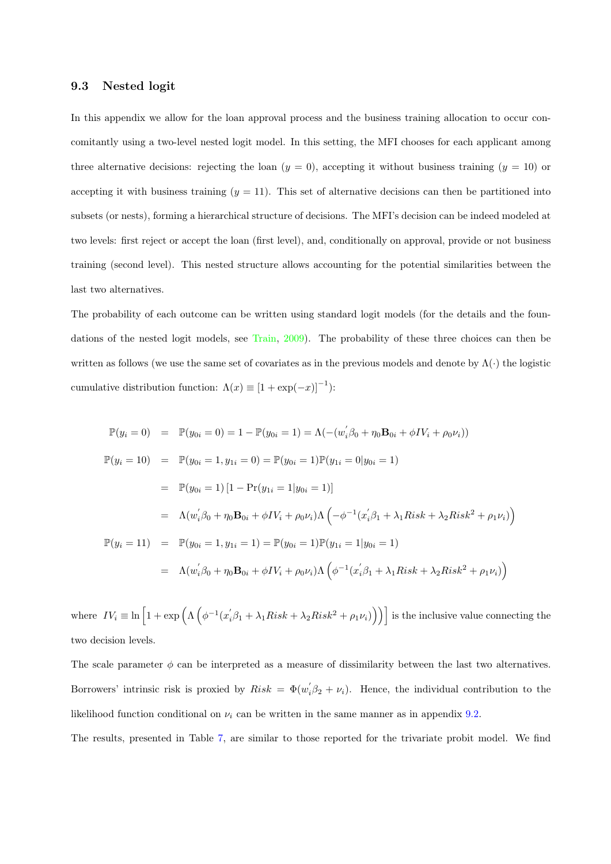#### <span id="page-37-1"></span><span id="page-37-0"></span>9.3 Nested logit

In this appendix we allow for the loan approval process and the business training allocation to occur concomitantly using a two-level nested logit model. In this setting, the MFI chooses for each applicant among three alternative decisions: rejecting the loan  $(y = 0)$ , accepting it without business training  $(y = 10)$  or accepting it with business training  $(y = 11)$ . This set of alternative decisions can then be partitioned into subsets (or nests), forming a hierarchical structure of decisions. The MFI's decision can be indeed modeled at two levels: first reject or accept the loan (first level), and, conditionally on approval, provide or not business training (second level). This nested structure allows accounting for the potential similarities between the last two alternatives.

The probability of each outcome can be written using standard logit models (for the details and the foundations of the nested logit models, see [Train,](#page-41-12) [2009\)](#page-41-12). The probability of these three choices can then be written as follows (we use the same set of covariates as in the previous models and denote by  $\Lambda(\cdot)$  the logistic cumulative distribution function:  $\Lambda(x) \equiv [1 + \exp(-x)]^{-1}$ :

$$
\mathbb{P}(y_i = 0) = \mathbb{P}(y_{0i} = 0) = 1 - \mathbb{P}(y_{0i} = 1) = \Lambda(-(w_i'\beta_0 + \eta_0 \mathbf{B}_{0i} + \phi IV_i + \rho_0 \nu_i))
$$
  
\n
$$
\mathbb{P}(y_i = 10) = \mathbb{P}(y_{0i} = 1, y_{1i} = 0) = \mathbb{P}(y_{0i} = 1)\mathbb{P}(y_{1i} = 0|y_{0i} = 1)
$$
  
\n
$$
= \mathbb{P}(y_{0i} = 1) [1 - \Pr(y_{1i} = 1|y_{0i} = 1)]
$$
  
\n
$$
= \Lambda(w_i'\beta_0 + \eta_0 \mathbf{B}_{0i} + \phi IV_i + \rho_0 \nu_i) \Lambda \left( -\phi^{-1} (x_i'\beta_1 + \lambda_1 \mathbf{R} i s k + \lambda_2 \mathbf{R} i s k^2 + \rho_1 \nu_i) \right)
$$
  
\n
$$
\mathbb{P}(y_i = 11) = \mathbb{P}(y_{0i} = 1, y_{1i} = 1) = \mathbb{P}(y_{0i} = 1)\mathbb{P}(y_{1i} = 1|y_{0i} = 1)
$$
  
\n
$$
= \Lambda(w_i'\beta_0 + \eta_0 \mathbf{B}_{0i} + \phi IV_i + \rho_0 \nu_i) \Lambda \left( \phi^{-1} (x_i'\beta_1 + \lambda_1 \mathbf{R} i s k + \lambda_2 \mathbf{R} i s k^2 + \rho_1 \nu_i) \right)
$$

where  $IV_i \equiv \ln \left[1 + \exp \left( \Lambda \left( \phi^{-1}(x_i^{\prime} \beta_1 + \lambda_1 Risk + \lambda_2 Risk^2 + \rho_1 \nu_i) \right) \right) \right]$  is the inclusive value connecting the two decision levels.

The scale parameter  $\phi$  can be interpreted as a measure of dissimilarity between the last two alternatives. Borrowers' intrinsic risk is proxied by  $Risk = \Phi(w'_i\beta_2 + \nu_i)$ . Hence, the individual contribution to the likelihood function conditional on  $\nu_i$  can be written in the same manner as in appendix [9.2.](#page-35-0)

The results, presented in Table [7,](#page-38-0) are similar to those reported for the trivariate probit model. We find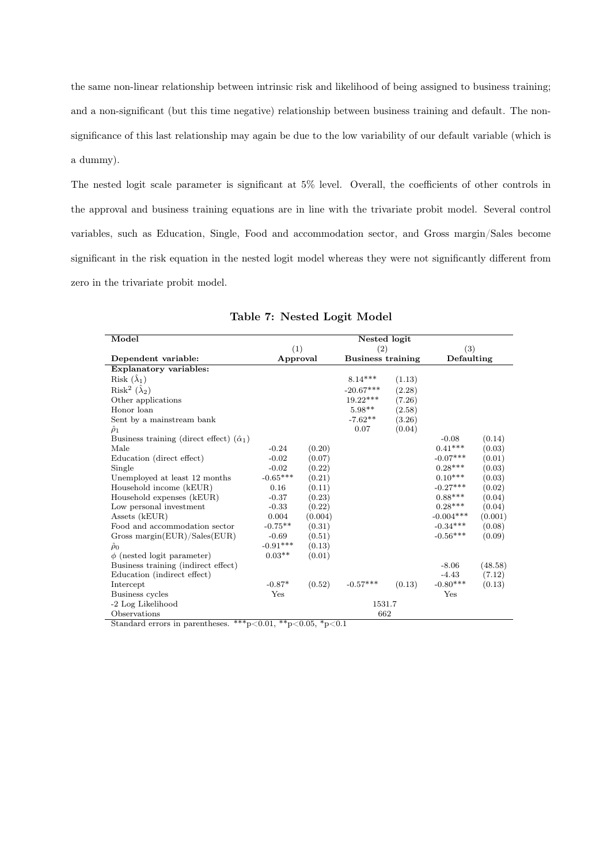the same non-linear relationship between intrinsic risk and likelihood of being assigned to business training; and a non-significant (but this time negative) relationship between business training and default. The nonsignificance of this last relationship may again be due to the low variability of our default variable (which is a dummy).

The nested logit scale parameter is significant at 5% level. Overall, the coefficients of other controls in the approval and business training equations are in line with the trivariate probit model. Several control variables, such as Education, Single, Food and accommodation sector, and Gross margin/Sales become significant in the risk equation in the nested logit model whereas they were not significantly different from zero in the trivariate probit model.

<span id="page-38-0"></span>

| Model                                                | Nested logit |         |                          |        |             |         |
|------------------------------------------------------|--------------|---------|--------------------------|--------|-------------|---------|
|                                                      | (1)          |         | (2)                      |        | (3)         |         |
| Dependent variable:                                  | Approval     |         | <b>Business training</b> |        | Defaulting  |         |
| <b>Explanatory variables:</b>                        |              |         |                          |        |             |         |
| Risk $(\lambda_1)$                                   |              |         | $8.14***$                | (1.13) |             |         |
| Risk <sup>2</sup> $(\hat{\lambda}_2)$                |              |         | $-20.67***$              | (2.28) |             |         |
| Other applications                                   |              |         | $19.22***$               | (7.26) |             |         |
| Honor loan                                           |              |         | $5.98**$                 | (2.58) |             |         |
| Sent by a mainstream bank                            |              |         | $-7.62**$                | (3.26) |             |         |
| $\hat{\rho}_1$                                       |              |         | 0.07                     | (0.04) |             |         |
| Business training (direct effect) $(\hat{\alpha}_1)$ |              |         |                          |        | $-0.08$     | (0.14)  |
| Male                                                 | $-0.24$      | (0.20)  |                          |        | $0.41***$   | (0.03)  |
| Education (direct effect)                            | $-0.02$      | (0.07)  |                          |        | $-0.07***$  | (0.01)  |
| Single                                               | $-0.02$      | (0.22)  |                          |        | $0.28***$   | (0.03)  |
| Unemployed at least 12 months                        | $-0.65***$   | (0.21)  |                          |        | $0.10***$   | (0.03)  |
| Household income (kEUR)                              | 0.16         | (0.11)  |                          |        | $-0.27***$  | (0.02)  |
| Household expenses (kEUR)                            | $-0.37$      | (0.23)  |                          |        | $0.88***$   | (0.04)  |
| Low personal investment                              | $-0.33$      | (0.22)  |                          |        | $0.28***$   | (0.04)  |
| Assets (kEUR)                                        | 0.004        | (0.004) |                          |        | $-0.004***$ | (0.001) |
| Food and accommodation sector                        | $-0.75**$    | (0.31)  |                          |        | $-0.34***$  | (0.08)  |
| Gross margin( $EUR$ )/Sales( $EUR$ )                 | $-0.69$      | (0.51)  |                          |        | $-0.56***$  | (0.09)  |
| $\ddot{\rho}_0$                                      | $-0.91***$   | (0.13)  |                          |        |             |         |
| $\phi$ (nested logit parameter)                      | $0.03**$     | (0.01)  |                          |        |             |         |
| Business training (indirect effect)                  |              |         |                          |        | $-8.06$     | (48.58) |
| Education (indirect effect)                          |              |         |                          |        | $-4.43$     | (7.12)  |
| Intercept                                            | $-0.87*$     | (0.52)  | $-0.57***$               | (0.13) | $-0.80***$  | (0.13)  |
| Business cycles                                      | Yes          |         |                          |        | Yes         |         |
| -2 Log Likelihood                                    |              |         | 1531.7                   |        |             |         |
| Observations                                         |              |         | 662                      |        |             |         |

Standard errors in parentheses. \*\*\*p<0.01, \*\*p<0.05, \*p<0.1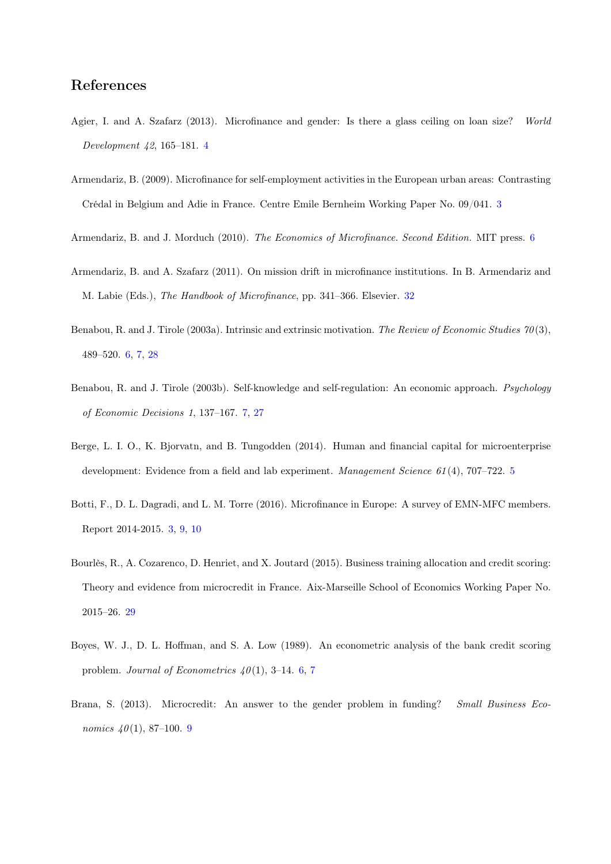## References

- <span id="page-39-2"></span>Agier, I. and A. Szafarz (2013). Microfinance and gender: Is there a glass ceiling on loan size? World Development 42, 165–181. [4](#page-4-1)
- <span id="page-39-0"></span>Armendariz, B. (2009). Microfinance for self-employment activities in the European urban areas: Contrasting Crédal in Belgium and Adie in France. Centre Emile Bernheim Working Paper No. 09/041. [3](#page-3-0)
- <span id="page-39-6"></span>Armendariz, B. and J. Morduch (2010). The Economics of Microfinance. Second Edition. MIT press. [6](#page-6-1)
- <span id="page-39-10"></span>Armendariz, B. and A. Szafarz (2011). On mission drift in microfinance institutions. In B. Armendariz and M. Labie (Eds.), The Handbook of Microfinance, pp. 341–366. Elsevier. [32](#page-32-3)
- <span id="page-39-4"></span>Benabou, R. and J. Tirole (2003a). Intrinsic and extrinsic motivation. The Review of Economic Studies 70 (3), 489–520. [6,](#page-6-1) [7,](#page-7-0) [28](#page-28-1)
- <span id="page-39-7"></span>Benabou, R. and J. Tirole (2003b). Self-knowledge and self-regulation: An economic approach. Psychology of Economic Decisions 1, 137–167. [7,](#page-7-0) [27](#page-27-0)
- <span id="page-39-3"></span>Berge, L. I. O., K. Bjorvatn, and B. Tungodden (2014). Human and financial capital for microenterprise development: Evidence from a field and lab experiment. Management Science 61(4), 707–722. [5](#page-5-1)
- <span id="page-39-1"></span>Botti, F., D. L. Dagradi, and L. M. Torre (2016). Microfinance in Europe: A survey of EMN-MFC members. Report 2014-2015. [3,](#page-3-0) [9,](#page-9-1) [10](#page-10-5)
- <span id="page-39-9"></span>Bourlès, R., A. Cozarenco, D. Henriet, and X. Joutard (2015). Business training allocation and credit scoring: Theory and evidence from microcredit in France. Aix-Marseille School of Economics Working Paper No. 2015–26. [29](#page-29-1)
- <span id="page-39-5"></span>Boyes, W. J., D. L. Hoffman, and S. A. Low (1989). An econometric analysis of the bank credit scoring problem. Journal of Econometrics  $40(1)$ , 3-14. [6,](#page-6-1) [7](#page-7-0)
- <span id="page-39-8"></span>Brana, S. (2013). Microcredit: An answer to the gender problem in funding? Small Business Economics  $40(1)$ , 87-100. [9](#page-9-1)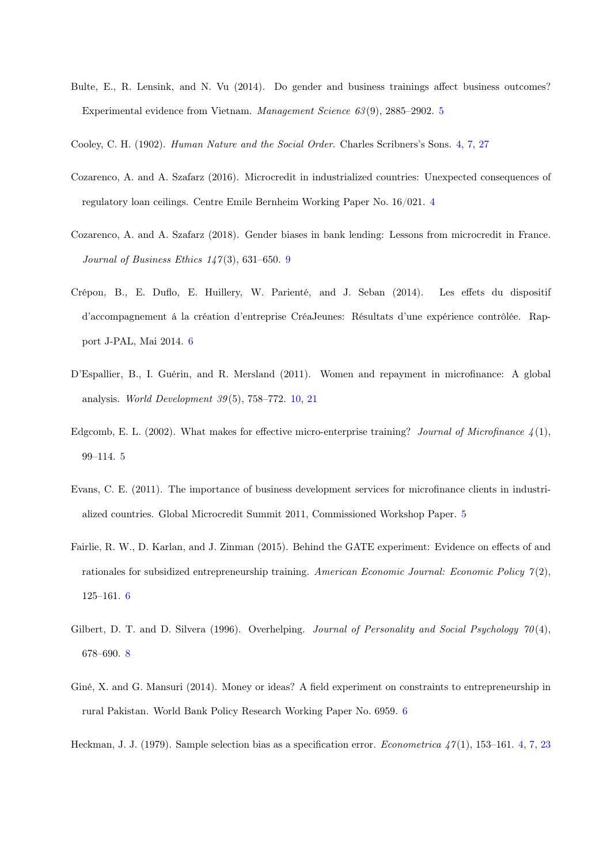- <span id="page-40-5"></span>Bulte, E., R. Lensink, and N. Vu (2014). Do gender and business trainings affect business outcomes? Experimental evidence from Vietnam. Management Science 63 (9), 2885–2902. [5](#page-5-1)
- <span id="page-40-2"></span><span id="page-40-1"></span>Cooley, C. H. (1902). Human Nature and the Social Order. Charles Scribners's Sons. [4,](#page-4-1) [7,](#page-7-0) [27](#page-27-0)
- Cozarenco, A. and A. Szafarz (2016). Microcredit in industrialized countries: Unexpected consequences of regulatory loan ceilings. Centre Emile Bernheim Working Paper No. 16/021. [4](#page-4-1)
- <span id="page-40-10"></span>Cozarenco, A. and A. Szafarz (2018). Gender biases in bank lending: Lessons from microcredit in France. Journal of Business Ethics  $147(3)$ , 631–650. [9](#page-9-1)
- <span id="page-40-7"></span>Crépon, B., E. Duflo, E. Huillery, W. Parienté, and J. Seban (2014). Les effets du dispositif d'accompagnement á la création d'entreprise CréaJeunes: Résultats d'une expérience contrôlée. Rapport J-PAL, Mai 2014. [6](#page-6-1)
- <span id="page-40-11"></span>D'Espallier, B., I. Guérin, and R. Mersland (2011). Women and repayment in microfinance: A global analysis. World Development  $39(5)$ , 758–772. [10,](#page-10-5) [21](#page-21-1)
- <span id="page-40-4"></span>Edgcomb, E. L. (2002). What makes for effective micro-enterprise training? Journal of Microfinance  $\lambda(1)$ , 99–114. [5](#page-5-1)
- <span id="page-40-3"></span>Evans, C. E. (2011). The importance of business development services for microfinance clients in industrialized countries. Global Microcredit Summit 2011, Commissioned Workshop Paper. [5](#page-5-1)
- <span id="page-40-6"></span>Fairlie, R. W., D. Karlan, and J. Zinman (2015). Behind the GATE experiment: Evidence on effects of and rationales for subsidized entrepreneurship training. American Economic Journal: Economic Policy  $\gamma(2)$ , 125–161. [6](#page-6-1)
- <span id="page-40-9"></span>Gilbert, D. T. and D. Silvera (1996). Overhelping. Journal of Personality and Social Psychology  $70(4)$ , 678–690. [8](#page-8-1)
- <span id="page-40-8"></span>Giné, X. and G. Mansuri (2014). Money or ideas? A field experiment on constraints to entrepreneurship in rural Pakistan. World Bank Policy Research Working Paper No. 6959. [6](#page-6-1)

<span id="page-40-0"></span>Heckman, J. J. (1979). Sample selection bias as a specification error. *Econometrica*  $47(1)$ , 153–161. [4,](#page-4-1) [7,](#page-7-0) [23](#page-23-2)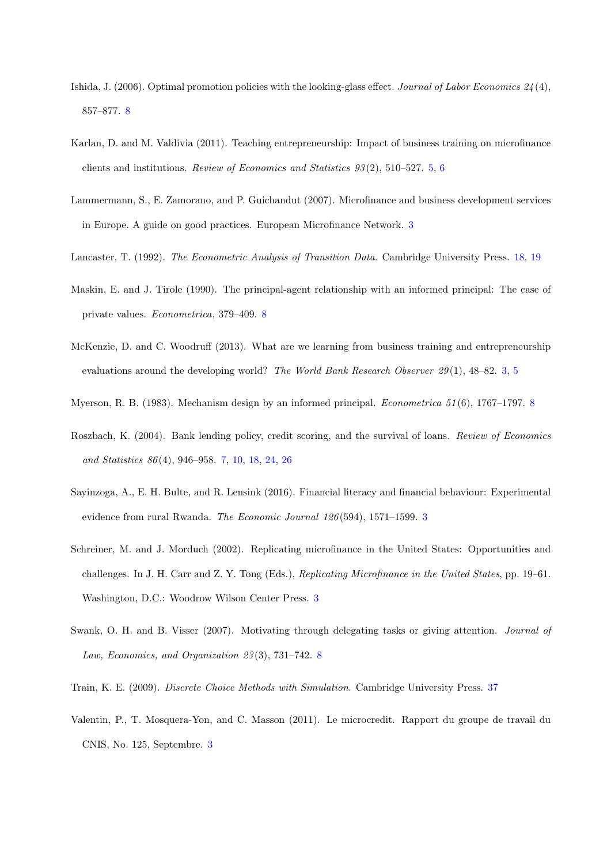- <span id="page-41-9"></span>Ishida, J. (2006). Optimal promotion policies with the looking-glass effect. Journal of Labor Economics  $24(4)$ , 857–877. [8](#page-8-1)
- <span id="page-41-5"></span>Karlan, D. and M. Valdivia (2011). Teaching entrepreneurship: Impact of business training on microfinance clients and institutions. Review of Economics and Statistics 93 (2), 510–527. [5,](#page-5-1) [6](#page-6-1)
- <span id="page-41-2"></span>Lammermann, S., E. Zamorano, and P. Guichandut (2007). Microfinance and business development services in Europe. A guide on good practices. European Microfinance Network. [3](#page-3-0)
- <span id="page-41-11"></span><span id="page-41-8"></span>Lancaster, T. (1992). The Econometric Analysis of Transition Data. Cambridge University Press. [18,](#page-18-2) [19](#page-19-1)
- Maskin, E. and J. Tirole (1990). The principal-agent relationship with an informed principal: The case of private values. Econometrica, 379–409. [8](#page-8-1)
- <span id="page-41-4"></span>McKenzie, D. and C. Woodruff (2013). What are we learning from business training and entrepreneurship evaluations around the developing world? The World Bank Research Observer  $29(1)$ , 48–82. [3,](#page-3-0) [5](#page-5-1)
- <span id="page-41-7"></span><span id="page-41-6"></span>Myerson, R. B. (19[8](#page-8-1)3). Mechanism design by an informed principal. *Econometrica* 51(6), 1767–1797. 8
- Roszbach, K. (2004). Bank lending policy, credit scoring, and the survival of loans. Review of Economics and Statistics 86 (4), 946–958. [7,](#page-7-0) [10,](#page-10-5) [18,](#page-18-2) [24,](#page-24-2) [26](#page-26-0)
- <span id="page-41-1"></span>Sayinzoga, A., E. H. Bulte, and R. Lensink (2016). Financial literacy and financial behaviour: Experimental evidence from rural Rwanda. The Economic Journal 126 (594), 1571–1599. [3](#page-3-0)
- <span id="page-41-0"></span>Schreiner, M. and J. Morduch (2002). Replicating microfinance in the United States: Opportunities and challenges. In J. H. Carr and Z. Y. Tong (Eds.), Replicating Microfinance in the United States, pp. 19–61. Washington, D.C.: Woodrow Wilson Center Press. [3](#page-3-0)
- <span id="page-41-10"></span>Swank, O. H. and B. Visser (2007). Motivating through delegating tasks or giving attention. Journal of Law, Economics, and Organization 23 (3), 731–742. [8](#page-8-1)
- <span id="page-41-12"></span><span id="page-41-3"></span>Train, K. E. (2009). Discrete Choice Methods with Simulation. Cambridge University Press. [37](#page-37-1)
- Valentin, P., T. Mosquera-Yon, and C. Masson (2011). Le microcredit. Rapport du groupe de travail du CNIS, No. 125, Septembre. [3](#page-3-0)